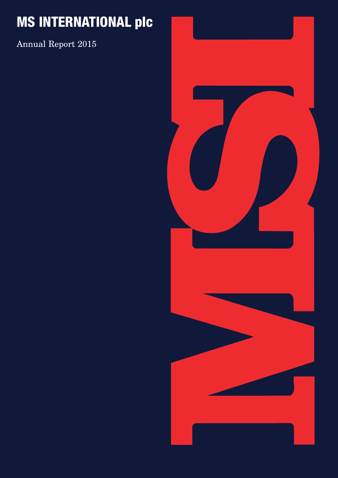# **MS INTERNATIONAL plc**

Annual Report 2015

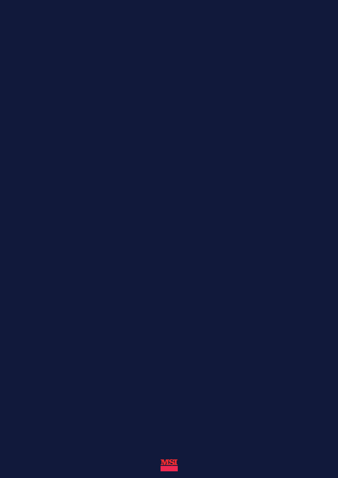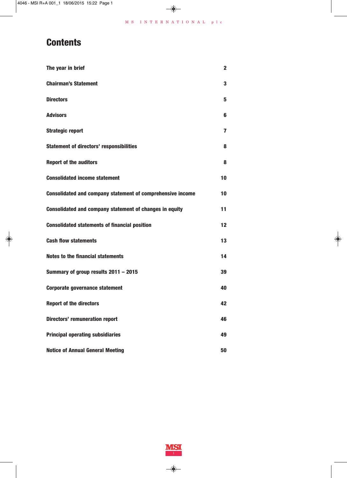## **Contents**

| The year in brief                                              | $\mathbf{2}$    |
|----------------------------------------------------------------|-----------------|
| <b>Chairman's Statement</b>                                    | 3               |
| <b>Directors</b>                                               | 5               |
| <b>Advisors</b>                                                | 6               |
| <b>Strategic report</b>                                        | 7               |
| <b>Statement of directors' responsibilities</b>                | 8               |
| <b>Report of the auditors</b>                                  | 8               |
| <b>Consolidated income statement</b>                           | 10              |
| Consolidated and company statement of comprehensive income     | 10              |
| <b>Consolidated and company statement of changes in equity</b> | 11              |
| <b>Consolidated statements of financial position</b>           | 12 <sup>2</sup> |
| <b>Cash flow statements</b>                                    | 13              |
| <b>Notes to the financial statements</b>                       | 14              |
| Summary of group results 2011 - 2015                           | 39              |
| <b>Corporate governance statement</b>                          | 40              |
| <b>Report of the directors</b>                                 | 42              |
| <b>Directors' remuneration report</b>                          | 46              |
| <b>Principal operating subsidiaries</b>                        | 49              |
| <b>Notice of Annual General Meeting</b>                        | 50              |

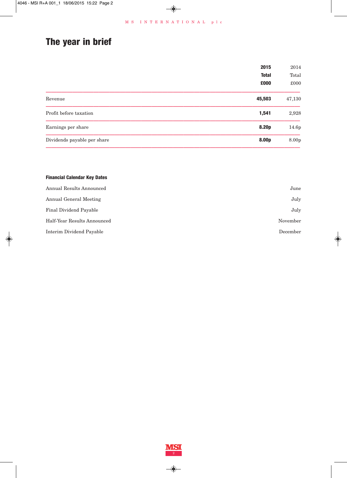## **The year in brief**

|                             | 2015         | 2014   |  |
|-----------------------------|--------------|--------|--|
|                             | <b>Total</b> | Total  |  |
|                             | £000         | £000   |  |
| Revenue                     | 45,503       | 47,130 |  |
| Profit before taxation      | 1,541        | 2,928  |  |
| Earnings per share          | 8.20p        | 14.6p  |  |
| Dividends payable per share | 8.00p        | 8.00p  |  |
|                             |              |        |  |

### **Financial Calendar Key Dates**

| Annual Results Announced    | June     |
|-----------------------------|----------|
| Annual General Meeting      | July     |
| Final Dividend Payable      | July     |
| Half-Year Results Announced | November |
| Interim Dividend Payable    | December |

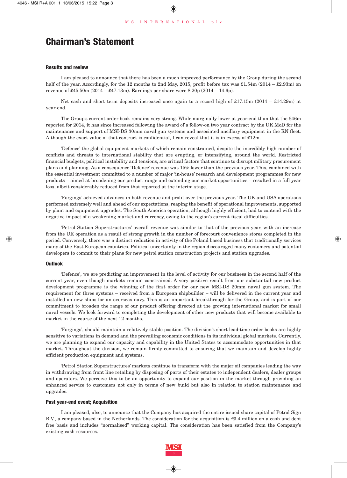### **Chairman's Statement**

#### **Results and review**

I am pleased to announce that there has been a much improved performance by the Group during the second half of the year. Accordingly, for the 12 months to 2nd May, 2015, profit before tax was £1.54m (2014 – £2.93m) on revenue of £45.50m (2014 – £47.13m). Earnings per share were 8.20p (2014 – 14.6p).

Net cash and short term deposits increased once again to a record high of £17.15m (2014 – £14.29m) at year-end.

The Group's current order book remains very strong. While marginally lower at year-end than that the £46m reported for 2014, it has since increased following the award of a follow-on two year contract by the UK MoD for the maintenance and support of MSI-DS 30mm naval gun systems and associated ancillary equipment in the RN fleet. Although the exact value of that contract is confidential, I can reveal that it is in excess of £12m.

'Defence' the global equipment markets of which remain constrained, despite the incredibly high number of conflicts and threats to international stability that are erupting, or intensifying, around the world. Restricted financial budgets, political instability and tensions, are critical factors that continue to disrupt military procurement plans and planning. As a consequence 'Defence' revenue was 15% lower than the previous year. This, combined with the essential investment committed to a number of major 'in-house' research and development programmes for new products – aimed at broadening our product range and extending our market opportunities – resulted in a full year loss, albeit considerably reduced from that reported at the interim stage.

'Forgings' achieved advances in both revenue and profit over the previous year. The UK and USA operations performed extremely well and ahead of our expectations, reaping the benefit of operational improvements, supported by plant and equipment upgrades. The South America operation, although highly efficient, had to contend with the negative impact of a weakening market and currency, owing to the region's current fiscal difficulties.

'Petrol Station Superstructures' overall revenue was similar to that of the previous year, with an increase from the UK operation as a result of strong growth in the number of forecourt convenience stores completed in the period. Conversely, there was a distinct reduction in activity of the Poland based business that traditionally services many of the East European countries. Political uncertainty in the region discouraged many customers and potential developers to commit to their plans for new petrol station construction projects and station upgrades.

#### **Outlook**

'Defence', we are predicting an improvement in the level of activity for our business in the second half of the current year, even though markets remain constrained. A very positive result from our substantial new product development programme is the winning of the first order for our new MSI-DS 20mm naval gun system. The requirement for three systems – received from a European shipbuilder – will be delivered in the current year and installed on new ships for an overseas navy. This is an important breakthrough for the Group, and is part of our commitment to broaden the range of our product offering directed at the growing international market for small naval vessels. We look forward to completing the development of other new products that will become available to market in the course of the next 12 months.

'Forgings', should maintain a relatively stable position. The division's short lead-time order books are highly sensitive to variations in demand and the prevailing economic conditions in its individual global markets. Currently, we are planning to expand our capacity and capability in the United States to accommodate opportunities in that market. Throughout the division, we remain firmly committed to ensuring that we maintain and develop highly efficient production equipment and systems.

'Petrol Station Superstructures' markets continue to transform with the major oil companies leading the way in withdrawing from front line retailing by disposing of parts of their estates to independent dealers, dealer groups and operators. We perceive this to be an opportunity to expand our position in the market through providing an enhanced service to customers not only in terms of new build but also in relation to station maintenance and upgrades.

#### **Post year-end event; Acquisition**

I am pleased, also, to announce that the Company has acquired the entire issued share capital of Petrol Sign B.V., a company based in the Netherlands. The consideration for the acquisition is €3.4 million on a cash and debt free basis and includes "normalised" working capital. The consideration has been satisfied from the Company's existing cash resources.

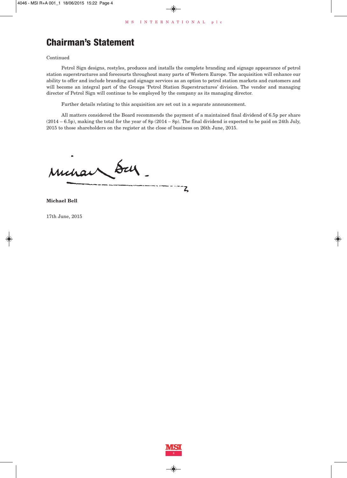## **Chairman's Statement**

Continued

Petrol Sign designs, restyles, produces and installs the complete branding and signage appearance of petrol station superstructures and forecourts throughout many parts of Western Europe. The acquisition will enhance our ability to offer and include branding and signage services as an option to petrol station markets and customers and will become an integral part of the Groups 'Petrol Station Superstructures' division. The vendor and managing director of Petrol Sign will continue to be employed by the company as its managing director.

Further details relating to this acquisition are set out in a separate announcement.

All matters considered the Board recommends the payment of a maintained final dividend of 6.5p per share  $(2014 - 6.5p)$ , making the total for the year of 8p  $(2014 - 8p)$ . The final dividend is expected to be paid on 24th July, 2015 to those shareholders on the register at the close of business on 26th June, 2015.

minai Sur ፞፟፟፟፞፟፟፟

**Michael Bell**

17th June, 2015

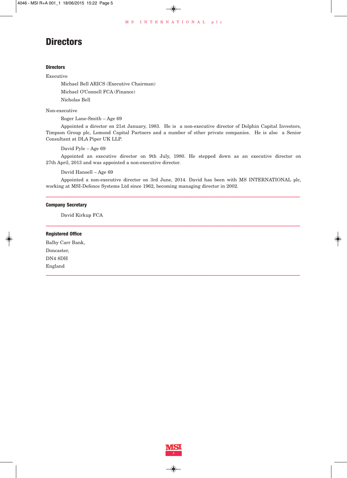### **Directors**

### **Directors**

Executive

Michael Bell ARICS (Executive Chairman) Michael O'Connell FCA (Finance) Nicholas Bell

Non-executive

Roger Lane-Smith – Age 69

Appointed a director on 21st January, 1983. He is a non-executive director of Dolphin Capital Investors, Timpson Group plc, Lomond Capital Partners and a number of other private companies. He is also a Senior Consultant at DLA Piper UK LLP.

David Pyle – Age 69

Appointed an executive director on 9th July, 1980. He stepped down as an executive director on 27th April, 2013 and was appointed a non-executive director.

David Hansell – Age 69

Appointed a non-executive director on 3rd June, 2014. David has been with MS INTERNATIONAL plc, working at MSI-Defence Systems Ltd since 1962, becoming managing director in 2002.

**222222222222222222222222222222222222222222222222**

**222222222222222222222222222222222222222222222222**

**222222222222222222222222222222222222222222222222**

### **Company Secretary**

David Kirkup FCA

#### **Registered Office**

Balby Carr Bank, Doncaster, DN4 8DH England

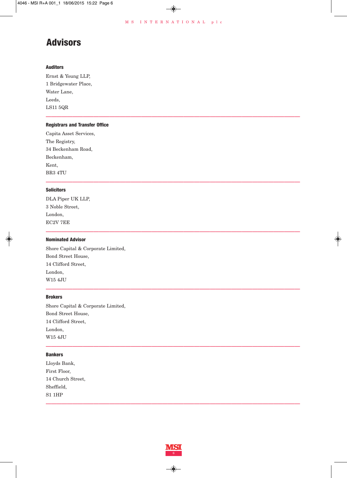**222222222222222222222222222222222222222222222222**

**222222222222222222222222222222222222222222222222**

**222222222222222222222222222222222222222222222222**

**222222222222222222222222222222222222222222222222**

**222222222222222222222222222222222222222222222222**

## **Advisors**

### **Auditors**

Ernst & Young LLP, 1 Bridgewater Place, Water Lane, Leeds, LS11 5QR

### **Registrars and Transfer Office**

Capita Asset Services, The Registry, 34 Beckenham Road, Beckenham, Kent, BR3 4TU

### **Solicitors**

DLA Piper UK LLP, 3 Noble Street, London, EC2V 7EE

### **Nominated Advisor**

Shore Capital & Corporate Limited, Bond Street House, 14 Clifford Street, London, W15 4JU

#### **Brokers**

Shore Capital & Corporate Limited, Bond Street House, 14 Clifford Street, London, W15 4JU

### **Bankers**

Lloyds Bank, First Floor, 14 Church Street, Sheffield, S1 1HP



**222222222222222222222222222222222222222222222222**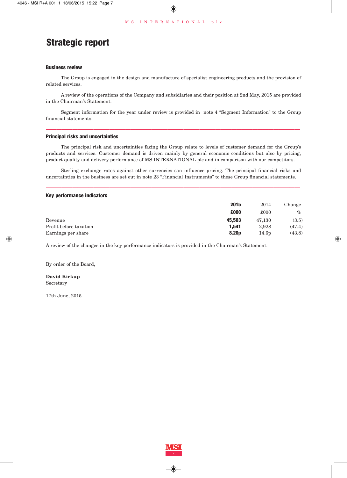### **Strategic report**

#### **Business review**

The Group is engaged in the design and manufacture of specialist engineering products and the provision of related services.

A review of the operations of the Company and subsidiaries and their position at 2nd May, 2015 are provided in the Chairman's Statement.

Segment information for the year under review is provided in note 4 "Segment Information" to the Group financial statements.

**222222222222222222222222222222222222222222222222**

#### **Principal risks and uncertainties**

The principal risk and uncertainties facing the Group relate to levels of customer demand for the Group's products and services. Customer demand is driven mainly by general economic conditions but also by pricing, product quality and delivery performance of MS INTERNATIONAL plc and in comparison with our competitors.

Sterling exchange rates against other currencies can influence pricing. The principal financial risks and uncertainties in the business are set out in note 23 "Financial Instruments" to these Group financial statements.

**222222222222222222222222222222222222222222222222**

#### **Key performance indicators**

|                        | 2015              | 2014              | Change |
|------------------------|-------------------|-------------------|--------|
|                        | £000              | £000              | $\%$   |
| Revenue                | 45,503            | 47.130            | (3.5)  |
| Profit before taxation | 1.541             | 2.928             | (47.4) |
| Earnings per share     | 8.20 <sub>p</sub> | 14.6 <sub>p</sub> | (43.8) |

A review of the changes in the key performance indicators is provided in the Chairman's Statement.

By order of the Board,

### **David Kirkup** Secretary

17th June, 2015

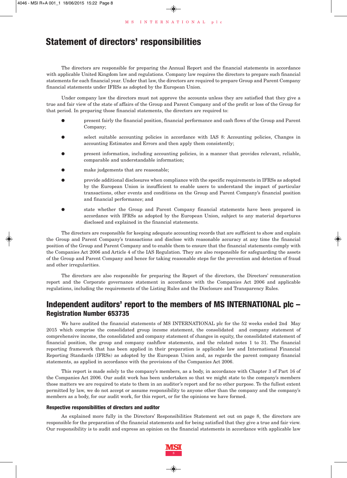## **Statement of directors' responsibilities**

The directors are responsible for preparing the Annual Report and the financial statements in accordance with applicable United Kingdom law and regulations. Company law requires the directors to prepare such financial statements for each financial year. Under that law, the directors are required to prepare Group and Parent Company financial statements under IFRSs as adopted by the European Union.

Under company law the directors must not approve the accounts unless they are satisfied that they give a true and fair view of the state of affairs of the Group and Parent Company and of the profit or loss of the Group for that period. In preparing those financial statements, the directors are required to:

- l present fairly the financial position, financial performance and cash flows of the Group and Parent Company;
- l select suitable accounting policies in accordance with IAS 8: Accounting policies, Changes in accounting Estimates and Errors and then apply them consistently;
- l present information, including accounting policies, in a manner that provides relevant, reliable, comparable and understandable information;
- make judgements that are reasonable;
- l provide additional disclosures when compliance with the specific requirements in IFRSs as adopted by the European Union is insufficient to enable users to understand the impact of particular transactions, other events and conditions on the Group and Parent Company's financial position and financial performance; and
- state whether the Group and Parent Company financial statements have been prepared in accordance with IFRSs as adopted by the European Union, subject to any material departures disclosed and explained in the financial statements.

The directors are responsible for keeping adequate accounting records that are sufficient to show and explain the Group and Parent Company's transactions and disclose with reasonable accuracy at any time the financial position of the Group and Parent Company and to enable them to ensure that the financial statements comply with the Companies Act 2006 and Article 4 of the IAS Regulation. They are also responsible for safeguarding the assets of the Group and Parent Company and hence for taking reasonable steps for the prevention and detection of fraud and other irregularities.

The directors are also responsible for preparing the Report of the directors, the Directors' remuneration report and the Corporate governance statement in accordance with the Companies Act 2006 and applicable regulations, including the requirements of the Listing Rules and the Disclosure and Transparency Rules.

### **Independent auditors' report to the members of MS INTERNATIONAL plc – Registration Number 653735**

We have audited the financial statements of MS INTERNATIONAL plc for the 52 weeks ended 2nd May 2015 which comprise the consolidated group income statement, the consolidated and company statement of comprehensive income, the consolidated and company statement of changes in equity, the consolidated statement of financial position, the group and company cashflow statements, and the related notes 1 to 31. The financial reporting framework that has been applied in their preparation is applicable law and International Financial Reporting Standards (IFRSs) as adopted by the European Union and, as regards the parent company financial statements, as applied in accordance with the provisions of the Companies Act 2006.

This report is made solely to the company's members, as a body, in accordance with Chapter 3 of Part 16 of the Companies Act 2006. Our audit work has been undertaken so that we might state to the company's members those matters we are required to state to them in an auditor's report and for no other purpose. To the fullest extent permitted by law, we do not accept or assume responsibility to anyone other than the company and the company's members as a body, for our audit work, for this report, or for the opinions we have formed.

#### **Respective responsibilities of directors and auditor**

As explained more fully in the Directors' Responsibilities Statement set out on page 8, the directors are responsible for the preparation of the financial statements and for being satisfied that they give a true and fair view. Our responsibility is to audit and express an opinion on the financial statements in accordance with applicable law

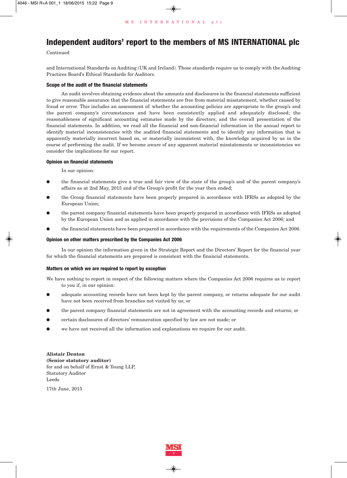## **Independent auditors' report to the members of MS INTERNATIONAL plc**

Continued

and International Standards on Auditing (UK and Ireland). Those standards require us to comply with the Auditing Practices Board's Ethical Standards for Auditors.

#### **Scope of the audit of the financial statements**

An audit involves obtaining evidence about the amounts and disclosures in the financial statements sufficient to give reasonable assurance that the financial statements are free from material misstatement, whether caused by fraud or error. This includes an assessment of: whether the accounting policies are appropriate to the group's and the parent company's circumstances and have been consistently applied and adequately disclosed; the reasonableness of significant accounting estimates made by the directors; and the overall presentation of the financial statements. In addition, we read all the financial and non-financial information in the annual report to identify material inconsistencies with the audited financial statements and to identify any information that is apparently materially incorrect based on, or materially inconsistent with, the knowledge acquired by us in the course of performing the audit. If we become aware of any apparent material misstatements or inconsistencies we consider the implications for our report.

### **Opinion on financial statements**

In our opinion:

- the financial statements give a true and fair view of the state of the group's and of the parent company's affairs as at 2nd May, 2015 and of the Group's profit for the year then ended;
- l the Group financial statements have been properly prepared in accordance with IFRSs as adopted by the European Union;
- l the parent company financial statements have been properly prepared in accordance with IFRSs as adopted by the European Union and as applied in accordance with the provisions of the Companies Act 2006; and
- l the financial statements have been prepared in accordance with the requirements of the Companies Act 2006.

#### **Opinion on other matters prescribed by the Companies Act 2006**

In our opinion the information given in the Strategic Report and the Directors' Report for the financial year for which the financial statements are prepared is consistent with the financial statements.

#### **Matters on which we are required to report by exception**

We have nothing to report in respect of the following matters where the Companies Act 2006 requires us to report to you if, in our opinion:

- l adequate accounting records have not been kept by the parent company, or returns adequate for our audit have not been received from branches not visited by us; or
- l the parent company financial statements are not in agreement with the accounting records and returns; or
- l certain disclosures of directors' remuneration specified by law are not made; or
- $\bullet$  we have not received all the information and explanations we require for our audit.

**Alistair Denton (Senior statutory auditor)** for and on behalf of Ernst & Young LLP, Statutory Auditor Leeds

17th June, 2015

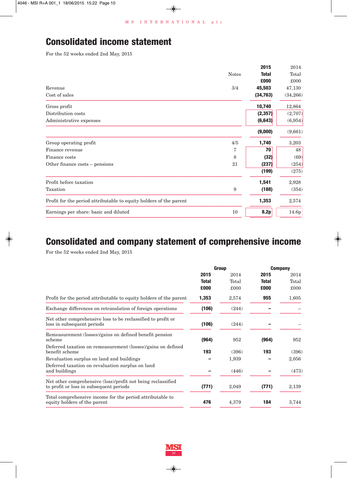## **Consolidated income statement**

For the 52 weeks ended 2nd May, 2015

|                                                                    |              | 2015         | 2014      |
|--------------------------------------------------------------------|--------------|--------------|-----------|
|                                                                    | <b>Notes</b> | <b>Total</b> | Total     |
|                                                                    |              | £000         | £000      |
| Revenue                                                            | 3/4          | 45,503       | 47,130    |
| Cost of sales                                                      |              | (34, 763)    | (34, 266) |
| Gross profit                                                       |              | 10,740       | 12,864    |
| Distribution costs                                                 |              | (2, 357)     | (2,707)   |
| Administrative expenses                                            |              | (6, 643)     | (6,954)   |
|                                                                    |              | (9,000)      | (9,661)   |
| Group operating profit                                             | 4/5          | 1,740        | 3,203     |
| Finance revenue                                                    | 7            | 70           | 48        |
| Finance costs                                                      | 8            | (32)         | (69)      |
| Other finance costs – pensions                                     | 21           | (237)        | (254)     |
|                                                                    |              | (199)        | (275)     |
| Profit before taxation                                             |              | 1,541        | 2,928     |
| Taxation                                                           | 9            | (188)        | (354)     |
| Profit for the period attributable to equity holders of the parent |              | 1,353        | 2,574     |
| Earnings per share: basic and diluted                              | 10           | 8.2p         | 14.6p     |

## **Consolidated and company statement of comprehensive income**

For the 52 weeks ended 2nd May, 2015

|              |       | <b>Company</b> |       |  |
|--------------|-------|----------------|-------|--|
| 2015         | 2014  | 2015           | 2014  |  |
| <b>Total</b> | Total | <b>Total</b>   | Total |  |
| £000         | £000  | £000           | £000  |  |
| 1,353        | 2,574 | 955            | 1,605 |  |
| (106)        | (244) |                |       |  |
| (106)        | (244) |                |       |  |
| (964)        | 952   | (964)          | 952   |  |
| 193          | (396) | 193            | (396) |  |
|              | 1,939 |                | 2,056 |  |
|              | (446) |                | (473) |  |
| (771)        | 2,049 | (771)          | 2,139 |  |
| 476          | 4,379 | 184            | 3,744 |  |
|              |       | <b>Group</b>   |       |  |

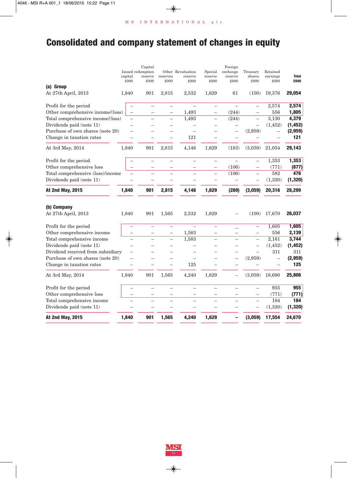## **Consolidated and company statement of changes in equity**

|                                   |                          | Capital                  |                          |                          |                          | Foreign                  |                          |                          |              |
|-----------------------------------|--------------------------|--------------------------|--------------------------|--------------------------|--------------------------|--------------------------|--------------------------|--------------------------|--------------|
|                                   |                          | Issued redemption        |                          | Other Revaluation        | Special                  | exchange                 | Treasury                 | Retained                 |              |
|                                   | capital                  | reserve                  | reserves                 | reserve                  | reserve                  | reserve                  | shares                   | earnings                 | <b>Total</b> |
| (a) Group                         | £000                     | £000                     | £000                     | £000                     | £000                     | £000                     | £000                     | £000                     | £000         |
| At 27th April, 2013               | 1,840                    | 901                      | 2,815                    | 2,532                    | 1,629                    | 61                       | (100)                    | 19,376                   | 29,054       |
|                                   |                          |                          |                          |                          |                          |                          |                          |                          |              |
| Profit for the period             |                          |                          |                          |                          |                          |                          |                          | 2,574                    | 2,574        |
| Other comprehensive income/(loss) | $\overline{\phantom{0}}$ |                          |                          | 1,493                    |                          | (244)                    |                          | 556                      | 1,805        |
| Total comprehensive income/(loss) | $\overline{\phantom{0}}$ | $\overline{\phantom{0}}$ | $\overline{\phantom{0}}$ | 1,493                    | $\overline{\phantom{0}}$ | (244)                    | $\overline{\phantom{0}}$ | 3,130                    | 4,379        |
| Dividends paid (note 11)          |                          |                          |                          |                          | $\overline{\phantom{0}}$ |                          | $\overline{\phantom{0}}$ | (1,452)                  | (1, 452)     |
| Purchase of own shares (note 20)  |                          |                          |                          | ÷                        |                          |                          | (2,959)                  | $\overline{\phantom{0}}$ | (2,959)      |
| Change in taxation rates          |                          |                          |                          | 121                      |                          |                          |                          |                          | 121          |
| At 3rd May, 2014                  | 1,840                    | 901                      | 2,815                    | 4,146                    | 1,629                    | (183)                    | (3,059)                  | 21,054                   | 29,143       |
| Profit for the period             |                          |                          |                          |                          |                          |                          | $\overline{\phantom{0}}$ | 1,353                    | 1,353        |
| Other comprehensive loss          | $\equiv$                 |                          |                          |                          |                          | (106)                    | $\overline{\phantom{0}}$ | (771)                    | (877)        |
| Total comprehensive (loss)/income | $\overline{\phantom{0}}$ | $\overline{\phantom{0}}$ | $\overline{\phantom{0}}$ | $\overline{\phantom{0}}$ | $\overline{\phantom{0}}$ | (106)                    | $\overline{\phantom{0}}$ | 582                      | 476          |
| Dividends paid (note 11)          |                          |                          |                          |                          | $\overline{\phantom{0}}$ |                          |                          | (1,320)                  | (1, 320)     |
| At 2nd May, 2015                  | 1,840                    | 901                      | 2,815                    | 4,146                    | 1,629                    | (289)                    | (3,059)                  | 20,316                   | 28,299       |
| (b) Company                       |                          |                          |                          |                          |                          |                          |                          |                          |              |
| At 27th April, 2013               | 1,840                    | 901                      | 1,565                    | 2,532                    | 1,629                    |                          | (100)                    | 17,670                   | 26,037       |
| Profit for the period             |                          |                          |                          |                          |                          |                          |                          | 1,605                    | 1,605        |
| Other comprehensive income        |                          |                          |                          | 1,583                    |                          |                          |                          | 556                      | 2,139        |
| Total comprehensive income        | $\overline{\phantom{0}}$ | $\overline{\phantom{0}}$ | $\overline{\phantom{0}}$ | 1,583                    | $\overline{\phantom{0}}$ | $\overline{\phantom{0}}$ | $\overline{\phantom{0}}$ | 2,161                    | 3,744        |
| Dividends paid (note 11)          |                          |                          |                          |                          |                          |                          |                          | (1, 452)                 | (1, 452)     |
| Dividend received from subsidiary |                          |                          |                          |                          |                          |                          |                          | 311                      | 311          |
| Purchase of own shares (note 20)  |                          |                          |                          | $\overline{\phantom{0}}$ |                          |                          | (2,959)                  |                          | (2,959)      |
| Change in taxation rates          |                          |                          |                          | 125                      |                          |                          |                          |                          | 125          |
| At 3rd May, 2014                  | 1,840                    | 901                      | 1,565                    | 4,240                    | 1,629                    |                          | (3,059)                  | 18,690                   | 25,806       |
| Profit for the period             |                          | $\overline{\phantom{0}}$ |                          | $\overline{\phantom{0}}$ | $\overline{\phantom{0}}$ | $\overline{\phantom{0}}$ | $\overline{\phantom{0}}$ | 955                      | 955          |
| Other comprehensive loss          | $\overline{\phantom{0}}$ | —                        | $\overline{\phantom{0}}$ | $\overline{\phantom{0}}$ | $\overline{\phantom{0}}$ | $\overline{\phantom{0}}$ | $\overline{\phantom{0}}$ | (771)                    | (771)        |
| Total comprehensive income        | $\overline{\phantom{0}}$ | $\overline{\phantom{0}}$ | L.                       | $\overline{\phantom{0}}$ | $\equiv$                 | $\equiv$                 | $\overline{\phantom{0}}$ | 184                      | 184          |
| Dividends paid (note 11)          |                          |                          |                          |                          |                          |                          |                          | (1,320)                  | (1, 320)     |
| <b>At 2nd May, 2015</b>           | 1,840                    | 901                      | 1,565                    | 4,240                    | 1,629                    |                          | (3,059)                  | 17,554                   | 24,670       |

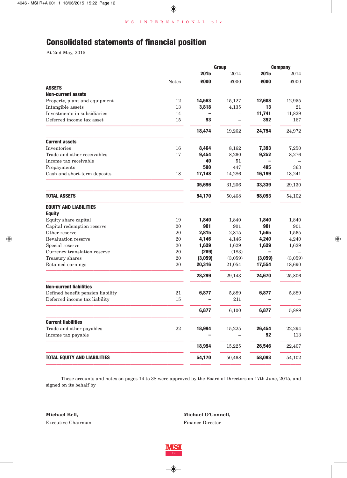## **Consolidated statements of financial position**

At 2nd May, 2015

|                                                    |              |              | Group        | <b>Company</b> |              |
|----------------------------------------------------|--------------|--------------|--------------|----------------|--------------|
|                                                    |              | 2015         | 2014         | 2015           | 2014         |
|                                                    | <b>Notes</b> | £000         | £000         | £000           | £000         |
| <b>ASSETS</b>                                      |              |              |              |                |              |
| <b>Non-current assets</b>                          |              |              |              |                |              |
| Property, plant and equipment                      | 12           | 14,563       | 15,127       | 12,608         | 12,955       |
| Intangible assets                                  | 13           | 3,818        | 4,135        | 13             | 21           |
| Investments in subsidiaries                        | 14           |              |              | 11,741         | 11,829       |
| Deferred income tax asset                          | 15           | 93           |              | 392            | 167          |
|                                                    |              | 18,474       | 19,262       | 24,754         | 24,972       |
| <b>Current assets</b>                              |              |              |              |                |              |
| Inventories                                        | 16           | 8,464        | 8,162        | 7,393          | 7,250        |
| Trade and other receivables                        | 17           | 9,454        | 8,260        | 9,252          | 8,276        |
| Income tax receivable                              |              | 40           | 51           |                |              |
| Prepayments                                        |              | 590          | 447          | 495            | 363          |
| Cash and short-term deposits                       | 18           | 17,148       | 14,286       | 16,199         | 13,241       |
|                                                    |              | 35,696       | 31,206       | 33,339         | 29,130       |
| <b>TOTAL ASSETS</b>                                |              | 54,170       | 50,468       | 58,093         | 54,102       |
| <b>EQUITY AND LIABILITIES</b>                      |              |              |              |                |              |
| <b>Equity</b>                                      |              |              |              |                |              |
| Equity share capital<br>Capital redemption reserve | 19<br>20     | 1,840<br>901 | 1,840<br>901 | 1,840<br>901   | 1,840<br>901 |
| Other reserve                                      | 20           | 2,815        | 2,815        | 1,565          | 1,565        |
| Revaluation reserve                                | 20           | 4,146        | 4,146        | 4,240          | 4,240        |
| Special reserve                                    | 20           | 1,629        | 1,629        | 1,629          | 1,629        |
| Currency translation reserve                       | 20           | (289)        | (183)        |                |              |
| Treasury shares                                    | 20           | (3,059)      | (3,059)      | (3,059)        | (3,059)      |
| Retained earnings                                  | 20           | 20,316       | 21,054       | 17,554         | 18,690       |
|                                                    |              | 28,299       | 29,143       | 24,670         | 25,806       |
| <b>Non-current liabilities</b>                     |              |              |              |                |              |
| Defined benefit pension liability                  | 21           | 6,877        | 5,889        | 6,877          | 5,889        |
| Deferred income tax liability                      | 15           |              | 211          |                |              |
|                                                    |              | 6,877        | 6,100        | 6,877          | 5,889        |
| <b>Current liabilities</b>                         |              |              |              |                |              |
| Trade and other payables                           | $22\,$       | 18,994       | 15,225       | 26,454         | 22,294       |
| Income tax payable                                 |              |              |              | 92             | 113          |
|                                                    |              | 18,994       | 15,225       | 26,546         | 22,407       |
| <b>TOTAL EQUITY AND LIABILITIES</b>                |              | 54,170       | 50,468       | 58,093         | 54,102       |
|                                                    |              |              |              |                |              |

These accounts and notes on pages 14 to 38 were approved by the Board of Directors on 17th June, 2015, and signed on its behalf by

**Michael Bell, Michael O'Connell,** Executive Chairman Finance Director

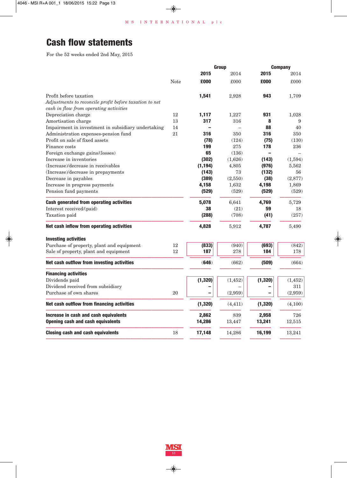## **Cash flow statements**

For the 52 weeks ended 2nd May, 2015

|                                                                                                  |             |          | Group    |          | <b>Company</b> |
|--------------------------------------------------------------------------------------------------|-------------|----------|----------|----------|----------------|
|                                                                                                  |             | 2015     | 2014     | 2015     | 2014           |
|                                                                                                  | <b>Note</b> | £000     | £000     | £000     | £000           |
| Profit before taxation                                                                           |             | 1,541    | 2,928    | 943      | 1,709          |
| Adjustments to reconcile profit before taxation to net<br>cash in flow from operating activities |             |          |          |          |                |
| Depreciation charge                                                                              | 12          | 1,117    | 1,227    | 931      | 1,028          |
| Amortisation charge                                                                              | 13          | 317      | 316      | 8        | 9              |
| Impairment in investment in subsidiary undertaking                                               | 14          |          |          | 88       | 40             |
| Administration expenses-pension fund                                                             | 21          | 316      | 350      | 316      | 350            |
| Profit on sale of fixed assets                                                                   |             | (78)     | (124)    | (75)     | (130)          |
| Finance costs                                                                                    |             | 199      | 275      | 178      | 236            |
| Foreign exchange gains/(losses)                                                                  |             | 65       | (136)    |          |                |
| Increase in inventories                                                                          |             | (302)    | (1,626)  | (143)    | (1,594)        |
| (Increase)/decrease in receivables                                                               |             | (1, 194) | 4,805    | (976)    | 5,562          |
| (Increase)/decrease in prepayments                                                               |             | (143)    | 73       | (132)    | 56             |
| Decrease in payables                                                                             |             | (389)    | (2,550)  | (38)     | (2,877)        |
| Increase in progress payments                                                                    |             | 4,158    | 1,632    | 4,198    | 1,869          |
| Pension fund payments                                                                            |             | (529)    | (529)    | (529)    | (529)          |
| <b>Cash generated from operating activities</b>                                                  |             | 5,078    | 6,641    | 4,769    | 5,729          |
| Interest received/(paid)                                                                         |             | 38       | (21)     | 59       | 18             |
| Taxation paid                                                                                    |             | (288)    | (708)    | (41)     | (257)          |
| Net cash inflow from operating activities                                                        |             | 4,828    | 5,912    | 4,787    | 5,490          |
| <b>Investing activities</b>                                                                      |             |          |          |          |                |
| Purchase of property, plant and equipment                                                        | 12          | (833)    | (940)    | (693)    | (842)          |
| Sale of property, plant and equipment                                                            | 12          | 187      | 278      | 184      | 178            |
| Net cash outflow from investing activities                                                       |             | (646)    | (662)    | (509)    | (664)          |
| <b>Financing activities</b>                                                                      |             |          |          |          |                |
| Dividends paid                                                                                   |             | (1, 320) | (1, 452) | (1, 320) | (1, 452)       |
| Dividend received from subsidiary                                                                |             |          |          |          | 311            |
| Purchase of own shares                                                                           | 20          |          | (2,959)  |          | (2,959)        |
| Net cash outflow from financing activities                                                       |             | (1, 320) | (4, 411) | (1, 320) | (4,100)        |
| Increase in cash and cash equivalents                                                            |             | 2,862    | 839      | 2,958    | 726            |
| <b>Opening cash and cash equivalents</b>                                                         |             | 14,286   | 13,447   | 13,241   | 12,515         |
| <b>Closing cash and cash equivalents</b>                                                         | 18          | 17,148   | 14,286   | 16,199   | 13,241         |
|                                                                                                  |             |          |          |          |                |

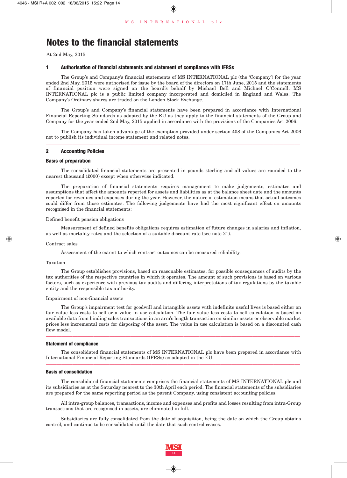At 2nd May, 2015

#### **1 Authorisation of financial statements and statement of compliance with IFRSs**

The Group's and Company's financial statements of MS INTERNATIONAL plc (the 'Company') for the year ended 2nd May, 2015 were authorised for issue by the board of the directors on 17th June, 2015 and the statements of financial position were signed on the board's behalf by Michael Bell and Michael O'Connell. MS INTERNATIONAL plc is a public limited company incorporated and domiciled in England and Wales. The Company's Ordinary shares are traded on the London Stock Exchange.

The Group's and Company's financial statements have been prepared in accordance with International Financial Reporting Standards as adopted by the EU as they apply to the financial statements of the Group and Company for the year ended 2nd May, 2015 applied in accordance with the provisions of the Companies Act 2006.

The Company has taken advantage of the exemption provided under section 408 of the Companies Act 2006 not to publish its individual income statement and related notes. **222222222222222222222222222222222222222222222222**

#### **2 Accounting Policies**

#### **Basis of preparation**

The consolidated financial statements are presented in pounds sterling and all values are rounded to the nearest thousand (£000) except when otherwise indicated.

The preparation of financial statements requires management to make judgements, estimates and assumptions that affect the amounts reported for assets and liabilities as at the balance sheet date and the amounts reported for revenues and expenses during the year. However, the nature of estimation means that actual outcomes could differ from those estimates. The following judgements have had the most significant effect on amounts recognised in the financial statements:

#### Defined benefit pension obligations

Measurement of defined benefits obligations requires estimation of future changes in salaries and inflation, as well as mortality rates and the selection of a suitable discount rate (see note 21).

#### Contract sales

Assessment of the extent to which contract outcomes can be measured reliability.

#### Taxation

The Group establishes provisions, based on reasonable estimates, for possible consequences of audits by the tax authorities of the respective countries in which it operates. The amount of such provisions is based on various factors, such as experience with previous tax audits and differing interpretations of tax regulations by the taxable entity and the responsible tax authority.

#### Impairment of non-financial assets

The Group's impairment test for goodwill and intangible assets with indefinite useful lives is based either on fair value less costs to sell or a value in use calculation. The fair value less costs to sell calculation is based on available data from binding sales transactions in an arm's length transaction on similar assets or observable market prices less incremental costs for disposing of the asset. The value in use calculation is based on a discounted cash flow model. **222222222222222222222222222222222222222222222222**

#### **Statement of compliance**

The consolidated financial statements of MS INTERNATIONAL plc have been prepared in accordance with International Financial Reporting Standards (IFRSs) as adopted in the EU. **222222222222222222222222222222222222222222222222**

#### **Basis of consolidation**

The consolidated financial statements comprises the financial statements of MS INTERNATIONAL plc and its subsidiaries as at the Saturday nearest to the 30th April each period. The financial statements of the subsidiaries are prepared for the same reporting period as the parent Company, using consistent accounting policies.

All intra-group balances, transactions, income and expenses and profits and losses resulting from intra-Group transactions that are recognised in assets, are eliminated in full.

Subsidiaries are fully consolidated from the date of acquisition, being the date on which the Group obtains control, and continue to be consolidated until the date that such control ceases.

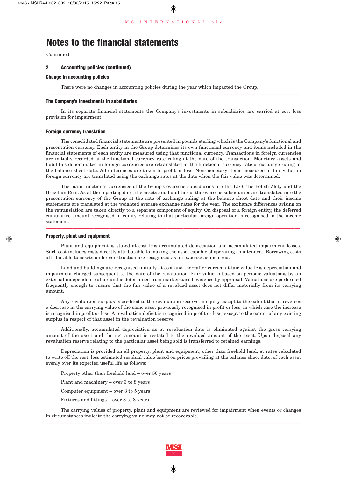Continued

#### **2 Accounting policies (continued)**

#### **Change in accounting policies**

There were no changes in accounting policies during the year which impacted the Group. **222222222222222222222222222222222222222222222222**

#### **The Company's investments in subsidiaries**

In its separate financial statements the Company's investments in subsidiaries are carried at cost less provision for impairment. **222222222222222222222222222222222222222222222222**

#### **Foreign currency translation**

The consolidated financial statements are presented in pounds sterling which is the Company's functional and presentation currency. Each entity in the Group determines its own functional currency and items included in the financial statements of each entity are measured using that functional currency. Transactions in foreign currencies are initially recorded at the functional currency rate ruling at the date of the transaction. Monetary assets and liabilities denominated in foreign currencies are retranslated at the functional currency rate of exchange ruling at the balance sheet date. All differences are taken to profit or loss. Non-monetary items measured at fair value in foreign currency are translated using the exchange rates at the date when the fair value was determined.

The main functional currencies of the Group's overseas subsidiaries are the US\$, the Polish Zloty and the Brazilian Real. As at the reporting date, the assets and liabilities of the overseas subsidiaries are translated into the presentation currency of the Group at the rate of exchange ruling at the balance sheet date and their income statements are translated at the weighted average exchange rates for the year. The exchange differences arising on the retranslation are taken directly to a separate component of equity. On disposal of a foreign entity, the deferred cumulative amount recognised in equity relating to that particular foreign operation is recognised in the income statement. **222222222222222222222222222222222222222222222222**

#### **Property, plant and equipment**

Plant and equipment is stated at cost less accumulated depreciation and accumulated impairment losses. Such cost includes costs directly attributable to making the asset capable of operating as intended. Borrowing costs attributable to assets under construction are recognised as an expense as incurred.

Land and buildings are recognised initially at cost and thereafter carried at fair value less depreciation and impairment charged subsequent to the date of the revaluation. Fair value is based on periodic valuations by an external independent valuer and is determined from market-based evidence by appraisal. Valuations are performed frequently enough to ensure that the fair value of a revalued asset does not differ materially from its carrying amount.

Any revaluation surplus is credited to the revaluation reserve in equity except to the extent that it reverses a decrease in the carrying value of the same asset previously recognised in profit or loss, in which case the increase is recognised in profit or loss. A revaluation deficit is recognised in profit or loss, except to the extent of any existing surplus in respect of that asset in the revaluation reserve.

Additionally, accumulated depreciation as at revaluation date is eliminated against the gross carrying amount of the asset and the net amount is restated to the revalued amount of the asset. Upon disposal any revaluation reserve relating to the particular asset being sold is transferred to retained earnings.

Depreciation is provided on all property, plant and equipment, other than freehold land, at rates calculated to write off the cost, less estimated residual value based on prices prevailing at the balance sheet date, of each asset evenly over its expected useful life as follows:

Property other than freehold land – over 50 years

Plant and machinery – over 3 to 8 years

Computer equipment – over 3 to 5 years

Fixtures and fittings – over 3 to 8 years

The carrying values of property, plant and equipment are reviewed for impairment when events or changes in circumstances indicate the carrying value may not be recoverable. **222222222222222222222222222222222222222222222222**

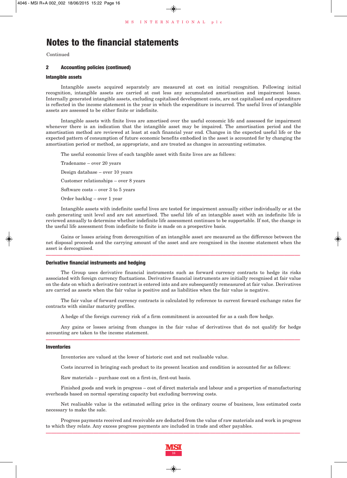Continued

#### **2 Accounting policies (continued)**

#### **Intangible assets**

Intangible assets acquired separately are measured at cost on initial recognition. Following initial recognition, intangible assets are carried at cost less any accumulated amortisation and impairment losses. Internally generated intangible assets, excluding capitalised development costs, are not capitalised and expenditure is reflected in the income statement in the year in which the expenditure is incurred. The useful lives of intangible assets are assessed to be either finite or indefinite.

Intangible assets with finite lives are amortised over the useful economic life and assessed for impairment whenever there is an indication that the intangible asset may be impaired. The amortisation period and the amortisation method are reviewed at least at each financial year end. Changes in the expected useful life or the expected pattern of consumption of future economic benefits embodied in the asset is accounted for by changing the amortisation period or method, as appropriate, and are treated as changes in accounting estimates.

The useful economic lives of each tangible asset with finite lives are as follows:

Tradename – over 20 years Design database – over 10 years Customer relationships – over 8 years Software costs – over 3 to 5 years Order backlog – over 1 year

Intangible assets with indefinite useful lives are tested for impairment annually either individually or at the cash generating unit level and are not amortised. The useful life of an intangible asset with an indefinite life is reviewed annually to determine whether indefinite life assessment continues to be supportable. If not, the change in the useful life assessment from indefinite to finite is made on a prospective basis.

Gains or losses arising from derecognition of an intangible asset are measured as the difference between the net disposal proceeds and the carrying amount of the asset and are recognised in the income statement when the asset is derecognised. **222222222222222222222222222222222222222222222222**

#### **Derivative financial instruments and hedging**

The Group uses derivative financial instruments such as forward currency contracts to hedge its risks associated with foreign currency fluctuations. Derivative financial instruments are initially recognised at fair value on the date on which a derivative contract is entered into and are subsequently remeasured at fair value. Derivatives are carried as assets when the fair value is positive and as liabilities when the fair value is negative.

The fair value of forward currency contracts is calculated by reference to current forward exchange rates for contracts with similar maturity profiles.

A hedge of the foreign currency risk of a firm commitment is accounted for as a cash flow hedge.

Any gains or losses arising from changes in the fair value of derivatives that do not qualify for hedge accounting are taken to the income statement. **222222222222222222222222222222222222222222222222**

#### **Inventories**

Inventories are valued at the lower of historic cost and net realisable value.

Costs incurred in bringing each product to its present location and condition is accounted for as follows:

Raw materials – purchase cost on a first-in, first-out basis.

Finished goods and work in progress – cost of direct materials and labour and a proportion of manufacturing overheads based on normal operating capacity but excluding borrowing costs.

Net realisable value is the estimated selling price in the ordinary course of business, less estimated costs necessary to make the sale.

Progress payments received and receivable are deducted from the value of raw materials and work in progress to which they relate. Any excess progress payments are included in trade and other payables. **222222222222222222222222222222222222222222222222**

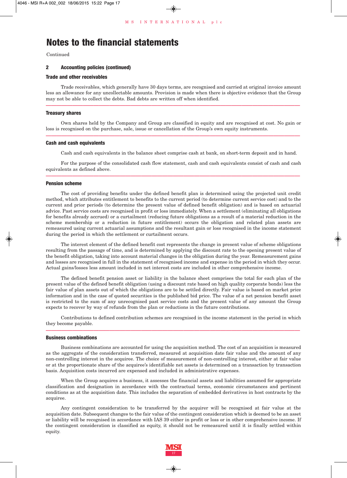Continued

#### **2 Accounting policies (continued)**

### **Trade and other receivables**

Trade receivables, which generally have 30 days terms, are recognised and carried at original invoice amount less an allowance for any uncollectable amounts. Provision is made when there is objective evidence that the Group may not be able to collect the debts. Bad debts are written off when identified. **222222222222222222222222222222222222222222222222**

#### **Treasury shares**

Own shares held by the Company and Group are classified in equity and are recognised at cost. No gain or loss is recognised on the purchase, sale, issue or cancellation of the Group's own equity instruments. **222222222222222222222222222222222222222222222222**

#### **Cash and cash equivalents**

Cash and cash equivalents in the balance sheet comprise cash at bank, on short-term deposit and in hand.

For the purpose of the consolidated cash flow statement, cash and cash equivalents consist of cash and cash equivalents as defined above. **222222222222222222222222222222222222222222222222**

#### **Pension scheme**

The cost of providing benefits under the defined benefit plan is determined using the projected unit credit method, which attributes entitlement to benefits to the current period (to determine current service cost) and to the current and prior periods (to determine the present value of defined benefit obligation) and is based on actuarial advice. Past service costs are recognised in profit or loss immediately. When a settlement (eliminating all obligations for benefits already accrued) or a curtailment (reducing future obligations as a result of a material reduction in the scheme membership or a reduction in future entitlement) occurs the obligation and related plan assets are remeasured using current actuarial assumptions and the resultant gain or loss recognised in the income statement during the period in which the settlement or curtailment occurs.

The interest element of the defined benefit cost represents the change in present value of scheme obligations resulting from the passage of time, and is determined by applying the discount rate to the opening present value of the benefit obligation, taking into account material changes in the obligation during the year. Remeasurement gains and losses are recognised in full in the statement of recognised income and expense in the period in which they occur. Actual gains/losses less amount included in net interest costs are included in other comprehensive income.

The defined benefit pension asset or liability in the balance sheet comprises the total for each plan of the present value of the defined benefit obligation (using a discount rate based on high quality corporate bonds) less the fair value of plan assets out of which the obligations are to be settled directly. Fair value is based on market price information and in the case of quoted securities is the published bid price. The value of a net pension benefit asset is restricted to the sum of any unrecognised past service costs and the present value of any amount the Group expects to recover by way of refunds from the plan or reductions in the future contributions.

Contributions to defined contribution schemes are recognised in the income statement in the period in which they become payable. **222222222222222222222222222222222222222222222222**

#### **Business combinations**

Business combinations are accounted for using the acquisition method. The cost of an acquisition is measured as the aggregate of the consideration transferred, measured at acquisition date fair value and the amount of any non-controlling interest in the acquiree. The choice of measurement of non-controlling interest, either at fair value or at the proportionate share of the acquiree's identifiable net assets is determined on a transaction by transaction basis. Acquisition costs incurred are expensed and included in administrative expenses.

When the Group acquires a business, it assesses the financial assets and liabilities assumed for appropriate classification and designation in accordance with the contractual terms, economic circumstances and pertinent conditions as at the acquisition date. This includes the separation of embedded derivatives in host contracts by the acquiree.

Any contingent consideration to be transferred by the acquirer will be recognised at fair value at the acquisition date. Subsequent changes to the fair value of the contingent consideration which is deemed to be an asset or liability will be recognised in accordance with IAS 39 either in profit or loss or in other comprehensive income. If the contingent consideration is classified as equity, it should not be remeasured until it is finally settled within equity.

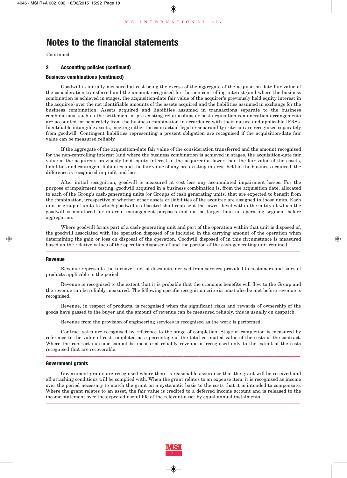Continued

#### **2 Accounting policies (continued)**

#### **Business combinations (continued)**

Goodwill is initially measured at cost being the excess of the aggregate of the acquisition-date fair value of the consideration transferred and the amount recognised for the non-controlling interest (and where the business combination is achieved in stages, the acquisition-date fair value of the acquirer's previously held equity interest in the acquiree) over the net identifiable amounts of the assets acquired and the liabilities assumed in exchange for the business combination. Assets acquired and liabilities assumed in transactions separate to the business combinations, such as the settlement of pre-existing relationships or post-acquisition remuneration arrangements are accounted for separately from the business combination in accordance with their nature and applicable IFRSs. Identifiable intangible assets, meeting either the contractual-legal or separability criterion are recognised separately from goodwill. Contingent liabilities representing a present obligation are recognised if the acquisition-date fair value can be measured reliably.

If the aggregate of the acquisition-date fair value of the consideration transferred and the amount recognised for the non-controlling interest (and where the business combination is achieved in stages, the acquisition-date fair value of the acquirer's previously held equity interest in the acquiree) is lower than the fair value of the assets, liabilities and contingent liabilities and the fair value of any pre-existing interest held in the business acquired, the difference is recognised in profit and loss.

After initial recognition, goodwill is measured at cost less any accumulated impairment losses. For the purpose of impairment testing, goodwill acquired in a business combination is, from the acquisition date, allocated to each of the Group's cash-generating units (or Groups of cash generating units) that are expected to benefit from the combination, irrespective of whether other assets or liabilities of the acquiree are assigned to those units. Each unit or group of units to which goodwill is allocated shall represent the lowest level within the entity at which the goodwill is monitored for internal management purposes and not be larger than an operating segment before aggregation.

Where goodwill forms part of a cash-generating unit and part of the operation within that unit is disposed of, the goodwill associated with the operation disposed of is included in the carrying amount of the operation when determining the gain or loss on disposal of the operation. Goodwill disposed of in this circumstance is measured based on the relative values of the operation disposed of and the portion of the cash-generating unit retained. **222222222222222222222222222222222222222222222222**

#### **Revenue**

Revenue represents the turnover, net of discounts, derived from services provided to customers and sales of products applicable to the period.

Revenue is recognised to the extent that it is probable that the economic benefits will flow to the Group and the revenue can be reliably measured. The following specific recognition criteria must also be met before revenue is recognised.

Revenue, in respect of products, is recognised when the significant risks and rewards of ownership of the goods have passed to the buyer and the amount of revenue can be measured reliably, this is usually on despatch.

Revenue from the provision of engineering services is recognised as the work is performed.

Contract sales are recognised by reference to the stage of completion. Stage of completion is measured by reference to the value of cost completed as a percentage of the total estimated value of the costs of the contract. Where the contract outcome cannot be measured reliably revenue is recognised only to the extent of the costs recognised that are recoverable. **222222222222222222222222222222222222222222222222**

#### **Government grants**

Government grants are recognised where there is reasonable assurance that the grant will be received and all attaching conditions will be complied with. When the grant relates to an expense item, it is recognised as income over the period necessary to match the grant on a systematic basis to the costs that it is intended to compensate. Where the grant relates to an asset, the fair value is credited to a deferred income account and is released to the income statement over the expected useful life of the relevant asset by equal annual instalments. **222222222222222222222222222222222222222222222222**

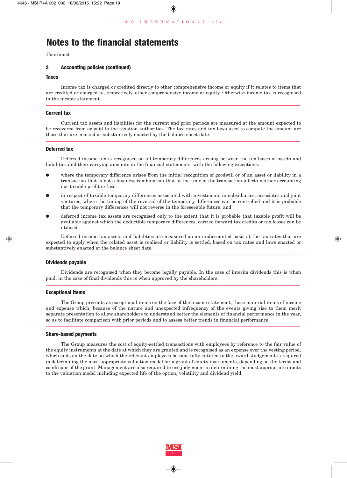Continued

### **2 Accounting policies (continued)**

#### **Taxes**

Income tax is charged or credited directly to other comprehensive income or equity if it relates to items that are credited or charged to, respectively, other comprehensive income or equity. Otherwise income tax is recognised in the income statement. **222222222222222222222222222222222222222222222222**

### **Current tax**

Current tax assets and liabilities for the current and prior periods are measured at the amount expected to be recovered from or paid to the taxation authorities. The tax rates and tax laws used to compute the amount are those that are enacted or substantively enacted by the balance sheet date. **222222222222222222222222222222222222222222222222**

#### **Deferred tax**

Deferred income tax is recognised on all temporary differences arising between the tax bases of assets and liabilities and their carrying amounts in the financial statements, with the following exceptions:

- where the temporary difference arises from the initial recognition of goodwill or of an asset or liability in a transaction that is not a business combination that at the time of the transaction affects neither accounting nor taxable profit or loss;
- in respect of taxable temporary differences associated with investments in subsidiaries, associates and joint ventures, where the timing of the reversal of the temporary differences can be controlled and it is probable that the temporary differences will not reverse in the foreseeable future; and
- l deferred income tax assets are recognised only to the extent that it is probable that taxable profit will be available against which the deductible temporary differences, carried forward tax credits or tax losses can be utilised.

Deferred income tax assets and liabilities are measured on an undiscounted basis at the tax rates that are expected to apply when the related asset is realised or liability is settled, based on tax rates and laws enacted or substantively enacted at the balance sheet date. **222222222222222222222222222222222222222222222222**

#### **Dividends payable**

Dividends are recognised when they become legally payable. In the case of interim dividends this is when paid, in the case of final dividends this is when approved by the shareholders. **222222222222222222222222222222222222222222222222**

#### **Exceptional items**

The Group presents as exceptional items on the face of the income statement, those material items of income and expense which, because of the nature and unexpected infrequency of the events giving rise to them merit separate presentation to allow shareholders to understand better the elements of financial performance in the year, so as to facilitate comparison with prior periods and to assess better trends in financial performance. **222222222222222222222222222222222222222222222222**

#### **Share-based payments**

The Group measures the cost of equity-settled transactions with employees by reference to the fair value of the equity instruments at the date at which they are granted and is recognised as an expense over the vesting period, which ends on the date on which the relevant employees become fully entitled to the award. Judgement is required in determining the most appropriate valuation model for a grant of equity instruments, depending on the terms and conditions of the grant. Management are also required to use judgement in determining the most appropriate inputs to the valuation model including expected life of the option, volatility and dividend yield.

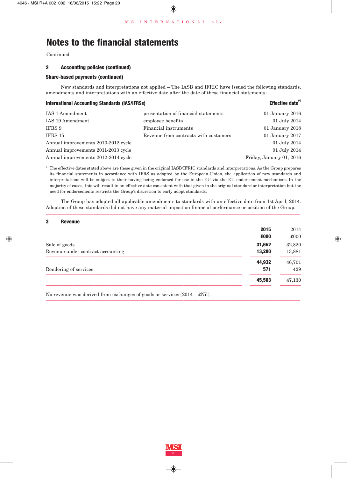Continued

### **2 Accounting policies (continued)**

### **Share-based payments (continued)**

New standards and interpretations not applied – The IASB and IFRIC have issued the following standards, amendments and interpretations with an effective date after the date of these financial statements:

**Fffective date**<sup>(1)</sup>

### **International Accounting Standards (IAS/IFRSs)**

| IAS 1 Amendment                     | presentation of financial statements  | 01 January 2016          |
|-------------------------------------|---------------------------------------|--------------------------|
| IAS 19 Amendment                    | employee benefits                     | 01 July 2014             |
| IFRS 9                              | Financial instruments                 | 01 January 2018          |
| IFRS 15                             | Revenue from contracts with customers | 01 January 2017          |
| Annual improvements 2010-2012 cycle |                                       | 01 July 2014             |
| Annual improvements 2011-2013 cycle |                                       | 01 July 2014             |
| Annual improvements 2012-2014 cycle |                                       | Friday, January 01, 2016 |
|                                     |                                       |                          |

<sup>1</sup> The effective dates stated above are those given in the original IASB/IFRIC standards and interpretations. As the Group prepares its financial statements in accordance with IFRS as adopted by the European Union, the application of new standards and interpretations will be subject to their having being endorsed for use in the EU via the EU endorsement mechanism. In the majority of cases, this will result in an effective date consistent with that given in the original standard or interpretation but the need for endorsements restricts the Group's discretion to early adopt standards.

The Group has adopted all applicable amendments to standards with an effective date from 1st April, 2014. Adoption of these standards did not have any material impact on financial performance or position of the Group. **222222222222222222222222222222222222222222222222**

#### **3 Revenue**

|                                   | 2015<br>£000 | 2014<br>£000 |
|-----------------------------------|--------------|--------------|
| Sale of goods                     | 31,652       | 32,820       |
| Revenue under contract accounting | 13,280       | 13,881       |
|                                   | 44,932       | 46,701       |
| Rendering of services             | 571          | 429          |
|                                   | 45,503       | 47,130       |
|                                   |              |              |

No revenue was derived from exchanges of goods or services (2014 – £Nil).

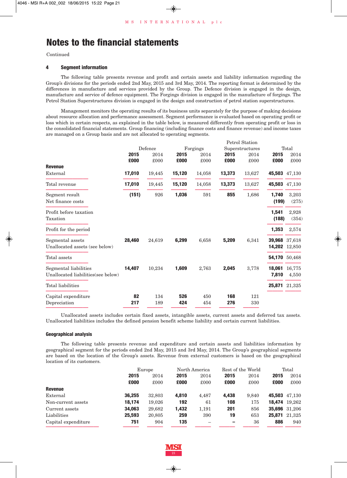Continued

#### **4 Segment information**

The following table presents revenue and profit and certain assets and liability information regarding the Group's divisions for the periods ended 2nd May, 2015 and 3rd May, 2014. The reporting format is determined by the differences in manufacture and services provided by the Group. The Defence division is engaged in the design, manufacture and service of defence equipment. The Forgings division is engaged in the manufacture of forgings. The Petrol Station Superstructures division is engaged in the design and construction of petrol station superstructures.

Management monitors the operating results of its business units separately for the purpose of making decisions about resource allocation and performance assessment. Segment performance is evaluated based on operating profit or loss which in certain respects, as explained in the table below, is measured differently from operating profit or loss in the consolidated financial statements. Group financing (including finance costs and finance revenue) and income taxes are managed on a Group basis and are not allocated to operating segments.

|                                    |        | <b>Petrol Station</b> |        |          |        |                 |        |               |
|------------------------------------|--------|-----------------------|--------|----------|--------|-----------------|--------|---------------|
|                                    |        | Defence               |        | Forgings |        | Superstructures | Total  |               |
|                                    | 2015   | 2014                  | 2015   | 2014     | 2015   | 2014            | 2015   | 2014          |
|                                    | £000   | £000                  | £000   | £000     | £000   | £000            | £000   | £000          |
| <b>Revenue</b>                     |        |                       |        |          |        |                 |        |               |
| External                           | 17,010 | 19,445                | 15,120 | 14,058   | 13,373 | 13,627          | 45,503 | 47,130        |
| Total revenue                      | 17,010 | 19,445                | 15,120 | 14,058   | 13,373 | 13,627          | 45,503 | 47,130        |
| Segment result                     | (151)  | 926                   | 1,036  | 591      | 855    | 1,686           | 1,740  | 3,203         |
| Net finance costs                  |        |                       |        |          |        |                 | (199)  | (275)         |
| Profit before taxation             |        |                       |        |          |        |                 | 1,541  | 2,928         |
| Taxation                           |        |                       |        |          |        |                 | (188)  | (354)         |
| Profit for the period              |        |                       |        |          |        |                 | 1,353  | 2,574         |
| Segmental assets                   | 28,460 | 24,619                | 6,299  | 6,658    | 5,209  | 6,341           | 39,968 | 37,618        |
| Unallocated assets (see below)     |        |                       |        |          |        |                 | 14,202 | 12,850        |
| Total assets                       |        |                       |        |          |        |                 |        | 54,170 50,468 |
| Segmental liabilities              | 14,407 | 10,234                | 1,609  | 2,763    | 2,045  | 3,778           | 18,061 | 16,775        |
| Unallocated liabilities(see below) |        |                       |        |          |        |                 | 7,810  | 4,550         |
| Total liabilities                  |        |                       |        |          |        |                 |        | 25,871 21,325 |
| Capital expenditure                | 82     | 134                   | 526    | 450      | 168    | 121             |        |               |
| Depreciation                       | 217    | 189                   | 424    | 454      | 276    | 330             |        |               |

Unallocated assets includes certain fixed assets, intangible assets, current assets and deferred tax assets. Unallocated liabilities includes the defined pension benefit scheme liability and certain current liabilities.

#### **Geographical analysis**

The following table presents revenue and expenditure and certain assets and liabilities information by geographical segment for the periods ended 2nd May, 2015 and 3rd May, 2014. The Group's geographical segments are based on the location of the Group's assets. Revenue from external customers is based on the geographical location of its customers.

|                     |        | Europe |       | North America |       | Rest of the World |                      | Total         |  |
|---------------------|--------|--------|-------|---------------|-------|-------------------|----------------------|---------------|--|
|                     | 2015   | 2014   | 2015  | 2014          | 2015  | 2014              | 2015                 | 2014          |  |
|                     | £000   | £000   | £000  | £000          | £000  | £000              | £000                 | £000          |  |
| <b>Revenue</b>      |        |        |       |               |       |                   |                      |               |  |
| External            | 36,255 | 32,803 | 4,810 | 4,487         | 4,438 | 9,840             | 45,503 47,130        |               |  |
| Non-current assets  | 18,174 | 19,026 | 192   | 61            | 108   | 175               |                      | 18,474 19,262 |  |
| Current assets      | 34,063 | 29,682 | 1,432 | 1.191         | 201   | 856               | <b>35.696</b> 31.206 |               |  |
| Liabilities         | 25,593 | 20,805 | 259   | 390           | 19    | 653               | 25,871 21,325        |               |  |
| Capital expenditure | 751    | 904    | 135   |               | -     | 36                | 886                  | 940           |  |

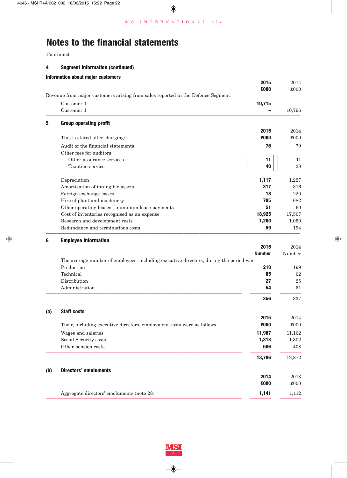Continued

### **4 Segment information (continued)**

**Information about major customers**

|     |                                                                                        | 2015          | 2014         |
|-----|----------------------------------------------------------------------------------------|---------------|--------------|
|     | Revenue from major customers arising from sales reported in the Defence Segment:       | £000          | £000         |
|     | Customer 1                                                                             | 10,715        |              |
|     | Customer 1                                                                             |               | 10,796       |
| 5   | <b>Group operating profit</b>                                                          |               |              |
|     |                                                                                        | 2015          | 2014         |
|     | This is stated after charging:                                                         | £000          | £000         |
|     | Audit of the financial statements                                                      | 76            | 79           |
|     | Other fees for auditors                                                                |               |              |
|     | Other assurance services                                                               | 11            | 11           |
|     | Taxation service                                                                       | 40            | 28           |
|     | Depreciation                                                                           | 1,117         | 1,227        |
|     | Amortisation of intangible assets                                                      | 317           | 316          |
|     | Foreign exchange losses                                                                | 18            | 220          |
|     | Hire of plant and machinery                                                            | 785           | 682          |
|     | Other operating leases - minimum lease payments                                        | 51            | 60           |
|     | Cost of inventories recognised as an expense                                           | 18,925        | 17,507       |
|     | Research and development costs                                                         | 1,200         | 1,050        |
|     | Redundancy and terminations costs                                                      | 59            | 194          |
| 6   | <b>Employee Information</b>                                                            |               |              |
|     |                                                                                        | 2015          | 2014         |
|     |                                                                                        | <b>Number</b> | Number       |
|     | The average number of employees, including executive directors, during the period was: |               |              |
|     | Production                                                                             | 210           | 199          |
|     | Technical                                                                              | 65            | 62           |
|     | Distribution                                                                           | 27            | 25           |
|     | Administration                                                                         | 54            | 51           |
|     |                                                                                        | 356           | 337          |
| (a) | <b>Staff costs</b>                                                                     |               |              |
|     |                                                                                        | 2015          | $\,2014$     |
|     | Their, including executive directors, employment costs were as follows:                | £000          | $\pounds000$ |
|     | Wages and salaries                                                                     | 11,967        | 11,162       |
|     | Social Security costs                                                                  | 1,313         | 1,302        |
|     | Other pension costs                                                                    | 506           | 408          |
|     |                                                                                        | 13,786        | 12,872       |
| (b) | <b>Directors' emoluments</b>                                                           |               |              |
|     |                                                                                        | 2014          | $\,2013$     |
|     |                                                                                        | £000          | $\pounds000$ |
|     | Aggregate directors' emoluments (note 28)                                              | 1,141         | 1,112        |

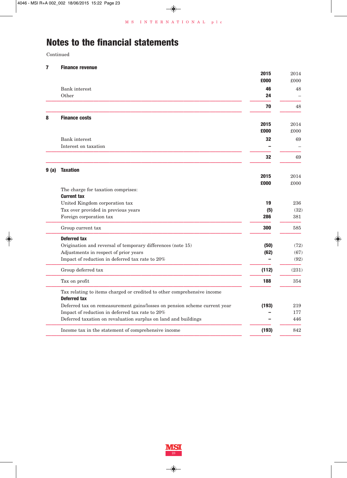Continued

| <b>Finance revenue</b>                                                                         |                                                                                                                                                                                                                                                                                |                             |
|------------------------------------------------------------------------------------------------|--------------------------------------------------------------------------------------------------------------------------------------------------------------------------------------------------------------------------------------------------------------------------------|-----------------------------|
|                                                                                                | 2015                                                                                                                                                                                                                                                                           | 2014                        |
|                                                                                                | £000                                                                                                                                                                                                                                                                           | £000                        |
| <b>Bank</b> interest                                                                           | 46                                                                                                                                                                                                                                                                             | 48                          |
| Other                                                                                          | 24                                                                                                                                                                                                                                                                             |                             |
|                                                                                                | 70                                                                                                                                                                                                                                                                             | 48                          |
| <b>Finance costs</b>                                                                           |                                                                                                                                                                                                                                                                                |                             |
|                                                                                                |                                                                                                                                                                                                                                                                                | 2014                        |
|                                                                                                |                                                                                                                                                                                                                                                                                | £000                        |
| <b>Bank</b> interest                                                                           | 32                                                                                                                                                                                                                                                                             | 69                          |
| Interest on taxation                                                                           |                                                                                                                                                                                                                                                                                |                             |
|                                                                                                | 32                                                                                                                                                                                                                                                                             | 69                          |
|                                                                                                |                                                                                                                                                                                                                                                                                |                             |
|                                                                                                | 2015                                                                                                                                                                                                                                                                           | 2014                        |
|                                                                                                | £000                                                                                                                                                                                                                                                                           | £000                        |
| The charge for taxation comprises:                                                             |                                                                                                                                                                                                                                                                                |                             |
| <b>Current tax</b>                                                                             |                                                                                                                                                                                                                                                                                |                             |
|                                                                                                | 19                                                                                                                                                                                                                                                                             | 236                         |
|                                                                                                | (5)                                                                                                                                                                                                                                                                            | (32)                        |
|                                                                                                |                                                                                                                                                                                                                                                                                | 381                         |
| Group current tax                                                                              | 300                                                                                                                                                                                                                                                                            | 585                         |
| <b>Deferred tax</b>                                                                            |                                                                                                                                                                                                                                                                                |                             |
|                                                                                                | (50)                                                                                                                                                                                                                                                                           | (72)                        |
|                                                                                                |                                                                                                                                                                                                                                                                                | (67)                        |
|                                                                                                |                                                                                                                                                                                                                                                                                | (92)                        |
| Group deferred tax                                                                             | (112)                                                                                                                                                                                                                                                                          | (231)                       |
| Tax on profit                                                                                  | 188                                                                                                                                                                                                                                                                            | 354                         |
| Tax relating to items charged or credited to other comprehensive income<br><b>Deferred tax</b> |                                                                                                                                                                                                                                                                                |                             |
| Deferred tax on remeasurement gains/losses on pension scheme current year                      | (193)                                                                                                                                                                                                                                                                          | 219                         |
| Impact of reduction in deferred tax rate to 20%                                                |                                                                                                                                                                                                                                                                                | 177                         |
| Deferred taxation on revaluation surplus on land and buildings                                 |                                                                                                                                                                                                                                                                                | 446                         |
| Income tax in the statement of comprehensive income                                            | (193)                                                                                                                                                                                                                                                                          | 842                         |
|                                                                                                | <b>Taxation</b><br>United Kingdom corporation tax<br>Tax over provided in previous years<br>Foreign corporation tax<br>Origination and reversal of temporary differences (note 15)<br>Adjustments in respect of prior years<br>Impact of reduction in deferred tax rate to 20% | 2015<br>£000<br>286<br>(62) |

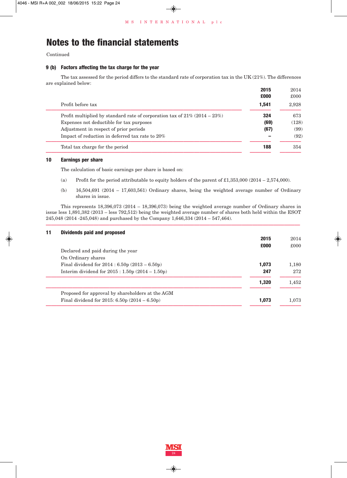Continued

### **9 (b) Factors affecting the tax charge for the year**

The tax assessed for the period differs to the standard rate of corporation tax in the UK (21%). The differences are explained below:

|                                                                              | 2015  | 2014  |
|------------------------------------------------------------------------------|-------|-------|
|                                                                              | £000  | £000  |
| Profit before tax                                                            | 1.541 | 2,928 |
| Profit multiplied by standard rate of corporation tax of $21\%$ (2014 – 23%) | 324   | 673   |
| Expenses not deductible for tax purposes                                     | (69)  | (128) |
| Adjustment in respect of prior periods                                       | (67)  | (99)  |
| Impact of reduction in deferred tax rate to 20%                              |       | (92)  |
| Total tax charge for the period                                              | 188   | 354   |

#### **10 Earnings per share**

The calculation of basic earnings per share is based on:

- (a) Profit for the period attributable to equity holders of the parent of  $\pounds1,353,000$  (2014 2,574,000).
- (b) 16,504,691 (2014 17,603,561) Ordinary shares, being the weighted average number of Ordinary shares in issue.

This represents 18,396,073 (2014 – 18,396,073) being the weighted average number of Ordinary shares in issue less 1,891,382 (2013 – less 792,512) being the weighted average number of shares both held within the ESOT 245,048 (2014 -245,048) and purchased by the Company 1,646,334 (2014 – 547,464). **222222222222222222222222222222222222222222222222**

| 11 | <b>Dividends paid and proposed</b>                 |       |       |
|----|----------------------------------------------------|-------|-------|
|    |                                                    | 2015  | 2014  |
|    |                                                    | £000  | £000  |
|    | Declared and paid during the year                  |       |       |
|    | On Ordinary shares                                 |       |       |
|    | Final dividend for $2014 : 6.50p (2013 - 6.50p)$   | 1.073 | 1,180 |
|    | Interim dividend for $2015 : 1.50p (2014 - 1.50p)$ | 247   | 272   |
|    |                                                    | 1,320 | 1,452 |
|    | Proposed for approval by shareholders at the AGM   |       |       |
|    | Final dividend for 2015: $6.50p(2014 - 6.50p)$     | 1.073 | 1.073 |

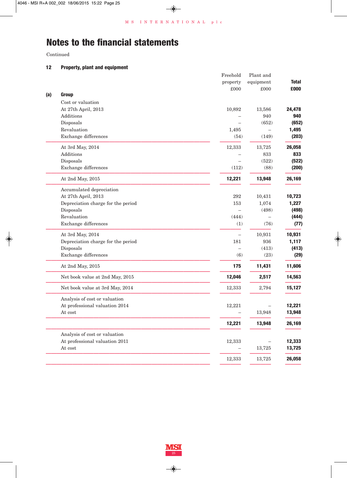Continued

### **12 Property, plant and equipment**

| <b>Group</b><br>(a)<br>Cost or valuation<br>At 27th April, 2013<br>10,892<br>13,586<br>Additions<br>940 | 24,478<br>940<br>(652)<br>1,495<br>(203)<br>26,058 |
|---------------------------------------------------------------------------------------------------------|----------------------------------------------------|
|                                                                                                         |                                                    |
|                                                                                                         |                                                    |
|                                                                                                         |                                                    |
| Disposals<br>(652)                                                                                      |                                                    |
| Revaluation<br>1,495                                                                                    |                                                    |
| Exchange differences<br>(54)<br>(149)                                                                   |                                                    |
| 12,333<br>13,725<br>At 3rd May, 2014                                                                    |                                                    |
| Additions<br>833                                                                                        | 833                                                |
| Disposals<br>(522)                                                                                      | (522)                                              |
| Exchange differences<br>(112)<br>(88)                                                                   | (200)                                              |
| 12,221<br>13,948<br>At 2nd May, 2015                                                                    | 26,169                                             |
| Accumulated depreciation                                                                                |                                                    |
| At 27th April, 2013<br>292<br>10,431                                                                    | 10,723                                             |
| Depreciation charge for the period<br>153<br>1,074                                                      | 1,227                                              |
| Disposals<br>(498)                                                                                      | (498)                                              |
| Revaluation<br>(444)                                                                                    | (444)                                              |
| Exchange differences<br>(1)<br>(76)                                                                     | (77)                                               |
| 10,931<br>At 3rd May, 2014                                                                              | 10,931                                             |
| 936<br>Depreciation charge for the period<br>181                                                        | 1,117                                              |
| Disposals<br>(413)                                                                                      | (413)                                              |
| Exchange differences<br>(6)<br>(23)                                                                     | (29)                                               |
| 175<br>At 2nd May, 2015<br>11,431                                                                       | 11,606                                             |
| 12,046<br>2,517<br>Net book value at 2nd May, 2015                                                      | 14,563                                             |
| Net book value at 3rd May, 2014<br>12,333<br>2,794                                                      | 15,127                                             |
| Analysis of cost or valuation                                                                           |                                                    |
| At professional valuation 2014<br>12,221                                                                | 12,221                                             |
| At cost<br>13,948                                                                                       | 13,948                                             |
| 12,221<br>13,948                                                                                        | 26,169                                             |
| Analysis of cost or valuation                                                                           |                                                    |
| At professional valuation 2011<br>12,333                                                                | 12,333                                             |
| At cost<br>13,725                                                                                       | 13,725                                             |
| 12,333<br>13,725                                                                                        | 26,058                                             |

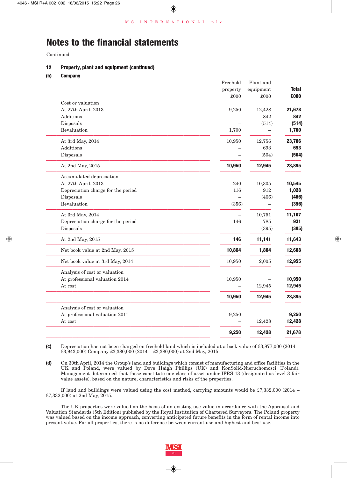Continued

#### **12 Property, plant and equipment (continued)**

**(b) Company**

|                                    | Freehold | Plant and |        |
|------------------------------------|----------|-----------|--------|
|                                    | property | equipment | Total  |
|                                    | £000     | £000      | £000   |
| Cost or valuation                  |          |           |        |
| At 27th April, 2013                | 9,250    | 12,428    | 21,678 |
| Additions                          |          | 842       | 842    |
| Disposals                          |          | (514)     | (514)  |
| Revaluation                        | 1,700    |           | 1,700  |
| At 3rd May, 2014                   | 10,950   | 12,756    | 23,706 |
| Additions                          |          | 693       | 693    |
| Disposals                          |          | (504)     | (504)  |
| At 2nd May, 2015                   | 10,950   | 12,945    | 23,895 |
| Accumulated depreciation           |          |           |        |
| At 27th April, 2013                | 240      | 10,305    | 10,545 |
| Depreciation charge for the period | 116      | 912       | 1,028  |
| Disposals                          |          | (466)     | (466)  |
| Revaluation                        | (356)    |           | (356)  |
| At 3rd May, 2014                   |          | 10,751    | 11,107 |
| Depreciation charge for the period | 146      | 785       | 931    |
| Disposals                          |          | (395)     | (395)  |
| At 2nd May, 2015                   | 146      | 11,141    | 11,643 |
| Net book value at 2nd May, 2015    | 10,804   | 1,804     | 12,608 |
| Net book value at 3rd May, 2014    | 10,950   | 2,005     | 12,955 |
| Analysis of cost or valuation      |          |           |        |
| At professional valuation 2014     | 10,950   |           | 10,950 |
| At cost                            |          | 12,945    | 12,945 |
|                                    | 10,950   | 12,945    | 23,895 |
| Analysis of cost or valuation      |          |           |        |
| At professional valuation 2011     | 9,250    |           | 9,250  |
| At cost                            |          | 12,428    | 12,428 |
|                                    | 9,250    | 12,428    | 21,678 |
|                                    |          |           |        |

**(c)** Depreciation has not been charged on freehold land which is included at a book value of £3,877,000 (2014 – £3,943,000) Company £3,380,000 (2014 – £3,380,000) at 2nd May, 2015.

**(d)** On 30th April, 2014 the Group's land and buildings which consist of manufacturing and office facilities in the UK and Poland, were valued by Dove Haigh Phillips (UK) and KonSolid-Nieruchomosci (Poland). Management determined that these constitute one class of asset under IFRS 13 (designated as level 3 fair value assets), based on the nature, characteristics and risks of the properties.

If land and buildings were valued using the cost method, carrying amounts would be £7,332,000 (2014 – £7,332,000) at 2nd May, 2015.

The UK properties were valued on the basis of an existing use value in accordance with the Appraisal and Valuation Standards (5th Edition) published by the Royal Institution of Chartered Surveyors. The Poland property was valued based on the income approach, converting anticipated future benefits in the form of rental income into present value. For all properties, there is no difference between current use and highest and best use.

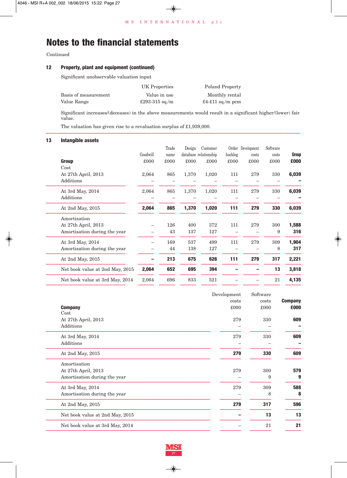Continued

### **12 Property, plant and equipment (continued)**

Significant unobservable valuation input

|                      | UK Properties  | Poland Property  |
|----------------------|----------------|------------------|
| Basis of measurement | Value in use   | Monthly rental   |
| Value Range          | £293-315 sq./m | £4-£11 sq./m pcm |

Significant increases/(deceases) in the above measurements would result in a significant higher/(lower) fair value.

The valuation has given rise to a revaluation surplus of £1,939,000. **222222222222222222222222222222222222222222222222**

### **13 Intangible assets**

| Group<br>$\cos t$<br>At 27th April, 2013                            | Goodwill<br>£000<br>2,064 | Trade<br>name<br>£000<br>865 | Design<br>£000<br>1,370 | Customer<br>database relationship<br>£000<br>1,020 | backlog<br>£000<br>111 | Order Development<br>costs<br>£000<br>279 | Software<br>costs<br>£000<br>330 | Group<br>£000<br>6,039 |
|---------------------------------------------------------------------|---------------------------|------------------------------|-------------------------|----------------------------------------------------|------------------------|-------------------------------------------|----------------------------------|------------------------|
| Additions<br>At 3rd May, 2014                                       | 2,064                     | 865                          | 1,370                   | 1,020                                              | 111                    | 279                                       | 330                              | 6,039                  |
| Additions                                                           |                           |                              |                         |                                                    |                        |                                           |                                  |                        |
| At 2nd May, 2015                                                    | 2,064                     | 865                          | 1,370                   | 1,020                                              | 111                    | 279                                       | 330                              | 6,039                  |
| Amortisation<br>At 27th April, 2013<br>Amortisation during the year |                           | 126<br>43                    | 400<br>137              | 372<br>127                                         | 111                    | 279                                       | 300<br>9                         | 1,588<br>316           |
| At 3rd May, 2014<br>Amortisation during the year                    |                           | 169<br>44                    | 537<br>138              | 499<br>127                                         | 111                    | 279                                       | 309<br>8                         | 1,904<br>317           |
| At 2nd May, 2015                                                    |                           | 213                          | 675                     | 626                                                | 111                    | 279                                       | 317                              | 2,221                  |
| Net book value at 2nd May, 2015                                     | 2,064                     | 652                          | 695                     | 394                                                |                        |                                           | 13                               | 3,818                  |
| Net book value at 3rd May, 2014                                     | 2,064                     | 696                          | 833                     | 521                                                |                        |                                           | 21                               | 4,135                  |

|                                                                     | Development | Software |                |
|---------------------------------------------------------------------|-------------|----------|----------------|
|                                                                     | costs       | costs    | <b>Company</b> |
| <b>Company</b><br>Cost                                              | £000        | £000     | £000           |
| At 27th April, 2013<br>Additions                                    | 279         | 330      | 609            |
| At 3rd May, 2014<br>Additions                                       | 279         | 330      | 609            |
| At 2nd May, 2015                                                    | 279         | 330      | 609            |
| Amortisation<br>At 27th April, 2013<br>Amortisation during the year | 279         | 300<br>9 | 579<br>9       |
| At 3rd May, 2014<br>Amortisation during the year                    | 279         | 309<br>8 | 588<br>8       |
| At 2nd May, 2015                                                    | 279         | 317      | 596            |
| Net book value at 2nd May, 2015                                     |             | 13       | 13             |
| Net book value at 3rd May, 2014                                     |             | 21       | 21             |
|                                                                     |             |          |                |

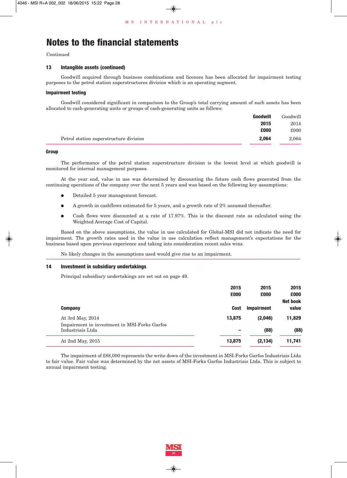Continued

#### **13 Intangible assets (continued)**

Goodwill acquired through business combinations and licences has been allocated for impairment testing purposes to the petrol station superstructures division which is an operating segment.

#### **Impairment testing**

Goodwill considered significant in comparison to the Group's total carrying amount of such assets has been allocated to cash-generating units or groups of cash-generating units as follows:

|       | Goodwill |
|-------|----------|
| 2015  | 2014     |
| £000  | £000     |
| 2.064 | 2,064    |
|       | Goodwill |

#### **Group**

The performance of the petrol station superstructure division is the lowest level at which goodwill is monitored for internal management purposes.

At the year end, value in use was determined by discounting the future cash flows generated from the continuing operations of the company over the next 5 years and was based on the following key assumptions:

- Detailed 5 year management forecast.
- A growth in cashflows estimated for 5 years, and a growth rate of  $2\%$  assumed thereafter.
- Cash flows were discounted at a rate of 17.97%. This is the discount rate as calculated using the Weighted Average Cost of Capital.

Based on the above assumptions, the value in use calculated for Global-MSI did not indicate the need for impairment. The growth rates used in the value in use calculation reflect management's expectations for the business based upon previous experience and taking into consideration recent sales wins.

No likely changes in the assumptions used would give rise to an impairment.

#### **14 Investment in subsidiary undertakings**

Principal subsidiary undertakings are set out on page 49.

|                                                                  | 2015        | 2015              | 2015            |
|------------------------------------------------------------------|-------------|-------------------|-----------------|
|                                                                  | £000        | £000              | £000            |
|                                                                  |             |                   | <b>Net book</b> |
| <b>Company</b>                                                   | <b>Cost</b> | <b>Impairment</b> | value           |
| At 3rd May, 2014                                                 | 13,875      | (2,046)           | 11,829          |
| Impairment in investment in MSI-Forks Garfos<br>Industriais Ltda | -           | (88)              | (88)            |
| At 2nd May, 2015                                                 | 13,875      | (2, 134)          | 11,741          |

The impairment of £88,000 represents the write down of the investment in MSI-Forks Garfos Industriais Ltda to fair value. Fair value was determined by the net assets of MSI-Forks Garfos Industriais Ltda. This is subject to annual impairment testing.

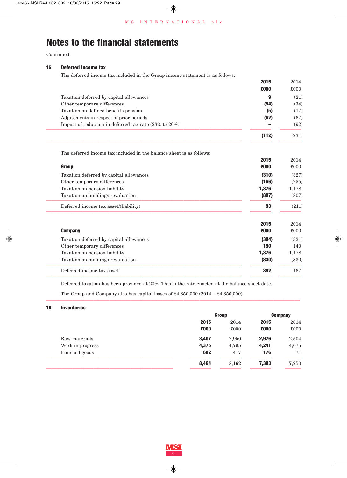Continued

### **15 Deferred income tax**

The deferred income tax included in the Group income statement is as follows:

| 2014  |
|-------|
| £000  |
| (21)  |
| (34)  |
| (17)  |
| (67)  |
| (92)  |
| (231) |
|       |

The deferred income tax included in the balance sheet is as follows:

|                                         | 2015  | 2014  |
|-----------------------------------------|-------|-------|
| Group                                   | £000  | £000  |
| Taxation deferred by capital allowances | (310) | (327) |
| Other temporary differences             | (166) | (255) |
| Taxation on pension liability           | 1,376 | 1,178 |
| Taxation on buildings revaluation       | (807) | (807) |
| Deferred income tax asset/(liability)   | 93    | (211) |
|                                         | 2015  | 2014  |
| <b>Company</b>                          | £000  | £000  |
| Taxation deferred by capital allowances | (304) | (321) |
| Other temporary differences             | 150   | 140   |
| Taxation on pension liability           | 1,376 | 1,178 |
| Taxation on buildings revaluation       | (830) | (830) |
| Deferred income tax asset               | 392   | 167   |

Deferred taxation has been provided at 20%. This is the rate enacted at the balance sheet date.

The Group and Company also has capital losses of  $\text{\pounds}4,350,000$  (2014 –  $\text{\pounds}4,350,000$ ). **222222222222222222222222222222222222222222222222**

### **16 Inventories**

|                  |       | Group |       | <b>Company</b> |
|------------------|-------|-------|-------|----------------|
|                  | 2015  | 2014  | 2015  | 2014           |
|                  | £000  | £000  | £000  | £000           |
| Raw materials    | 3,407 | 2,950 | 2,976 | 2,504          |
| Work in progress | 4,375 | 4,795 | 4,241 | 4,675          |
| Finished goods   | 682   | 417   | 176   | 71             |
|                  | 8,464 | 8,162 | 7,393 | 7,250          |

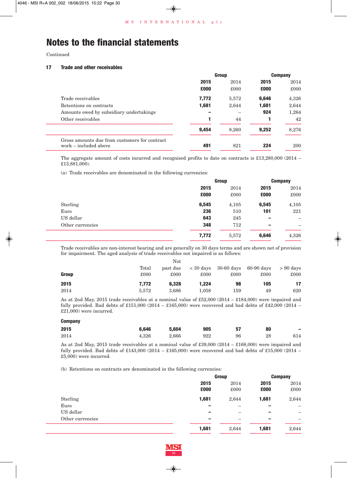Continued

#### **17 Trade and other receivables**

|                                                                        | Group |       | <b>Company</b> |       |
|------------------------------------------------------------------------|-------|-------|----------------|-------|
|                                                                        | 2015  | 2014  | 2015           | 2014  |
|                                                                        | £000  | £000  | £000           | £000  |
| Trade receivables                                                      | 7,772 | 5,572 | 6,646          | 4,326 |
| Retentions on contracts                                                | 1,681 | 2,644 | 1,681          | 2,644 |
| Amounts owed by subsidiary undertakings                                |       |       | 924            | 1,264 |
| Other receivables                                                      |       | 44    |                | 42    |
|                                                                        | 9,454 | 8,260 | 9,252          | 8,276 |
| Gross amounts due from customers for contract<br>work – included above | 491   | 821   | 224            | 200   |

The aggregate amount of costs incurred and recognised profits to date on contracts is £13,280,000 (2014 – £13,881,000).

(a) Trade receivables are denominated in the following currencies:

| Group |       |       | <b>Company</b>   |
|-------|-------|-------|------------------|
| 2015  | 2014  | 2015  | 2014             |
| £000  | £000  | £000  | £000             |
| 6,545 | 4,105 | 6,545 | 4,105            |
| 236   | 510   | 101   | 221              |
| 643   | 245   | -     | —                |
| 348   | 712   | -     | —                |
| 7,772 | 5,572 | 6,646 | 4,326<br>_______ |
|       |       |       |                  |

Trade receivables are non-interest bearing and are generally on 30 days terms and are shown net of provision for impairment. The aged analysis of trade receivables not impaired is as follows:

|       |       | <b>Not</b> |             |                       |      |             |
|-------|-------|------------|-------------|-----------------------|------|-------------|
|       | Total | past due   | $<$ 30 days | 30-60 days 60-90 days |      | $> 90$ days |
| Group | £000  | £000       | £000        | £000                  | £000 | £000        |
| 2015  | 7.772 | 6.328      | 1.224       | 98                    | 105  | 17          |
| 2014  | 5.572 | 3.686      | 1.058       | 159                   | 49   | 620         |

As at 2nd May, 2015 trade receivables at a nominal value of £52,000 (2014 – £184,000) were impaired and fully provided. Bad debts of £151,000 (2014 – £165,000) were recovered and bad debts of £42,000 (2014 – £21,000) were incurred.

| <b>Company</b> |       |       |     |    |    |     |
|----------------|-------|-------|-----|----|----|-----|
| 2015           | 6.646 | 5,604 | 905 | 57 | 80 | ۰   |
| 2014           | 4.326 | 2.666 | 922 | 96 | 28 | 614 |

As at 2nd May, 2015 trade receivables at a nominal value of £39,000 (2014 – £168,000) were impaired and fully provided. Bad debts of £143,000 (2014 – £165,000) were recovered and bad debts of £15,000 (2014 – £5,000) were incurred.

(b) Retentions on contracts are denominated in the following currencies:

|                  | <b>Group</b>  |               |                          | <b>Company</b>           |
|------------------|---------------|---------------|--------------------------|--------------------------|
|                  | 2015          | 2014          | 2015                     | 2014                     |
| Sterling         | £000<br>1,681 | £000<br>2,644 | £000<br>1,681            | £000<br>2,644            |
| Euro             | -             |               | $\equiv$                 | $\overline{\phantom{0}}$ |
| US dollar        | -             |               | -                        | $\overline{\phantom{0}}$ |
| Other currencies | -             |               | $\overline{\phantom{a}}$ | -                        |
|                  | 1,681         | 2,644         | 1,681                    | 2,644                    |

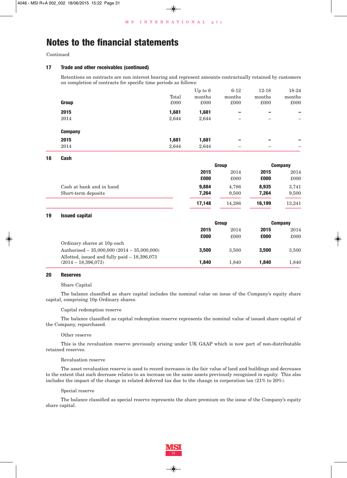Continued

#### **17 Trade and other receivables (continued)**

Retentions on contracts are non interest bearing and represent amounts contractually retained by customers on completion of contracts for specific time periods as follows:

| Group          | Total<br>£000 | Up to $6$<br>months<br>£000 | $6 - 12$<br>months<br>£000 | $12 - 18$<br>months<br>£000 | 18-24<br>months<br>£000 |
|----------------|---------------|-----------------------------|----------------------------|-----------------------------|-------------------------|
| 2015           | 1,681         | 1,681                       | $\overline{\phantom{a}}$   |                             |                         |
| 2014           | 2,644         | 2,644                       |                            |                             | —                       |
| <b>Company</b> |               |                             |                            |                             |                         |
| 2015           | 1,681         | 1,681                       | $\overline{\phantom{a}}$   | -                           | -                       |
| 2014           | 2,644         | 2,644                       |                            |                             | –                       |

#### **18 Cash**

|                          | Group  |        |        | Company |
|--------------------------|--------|--------|--------|---------|
|                          | 2015   | 2014   | 2015   | 2014    |
|                          | £000   | £000   | £000   | £000    |
| Cash at bank and in hand | 9,884  | 4,786  | 8,935  | 3,741   |
| Short-term deposits      | 7,264  | 9,500  | 7,264  | 9,500   |
|                          | 17,148 | 14.286 | 16,199 | 13,241  |

#### **19 Issued capital**

|                                               | Group |       | <b>Company</b> |       |
|-----------------------------------------------|-------|-------|----------------|-------|
|                                               | 2015  | 2014  | 2015           | 2014  |
|                                               | £000  | £000  | £000           | £000  |
| Ordinary shares at 10p each                   |       |       |                |       |
| Authorised $-35,000,000(2014-35,000,000)$     | 3.500 | 3.500 | 3.500          | 3,500 |
| Allotted, issued and fully paid $-18,396,073$ |       |       |                |       |
| $(2014 - 18,396,073)$                         | 1.840 | 1.840 | 1.840          | 1,840 |

#### **20 Reserves**

#### Share Capital

The balance classified as share capital includes the nominal value on issue of the Company's equity share capital, comprising 10p Ordinary shares.

#### Capital redemption reserve

The balance classified as capital redemption reserve represents the nominal value of issued share capital of the Company, repurchased.

#### Other reserve

This is the revaluation reserve previously arising under UK GAAP which is now part of non-distributable retained reserves.

### Revaluation reserve

The asset revaluation reserve is used to record increases in the fair value of land and buildings and decreases to the extent that such decrease relates to an increase on the same assets previously recognised in equity. This also includes the impact of the change in related deferred tax due to the change in corporation tax (21% to 20%).

#### Special reserve

The balance classified as special reserve represents the share premium on the issue of the Company's equity share capital.

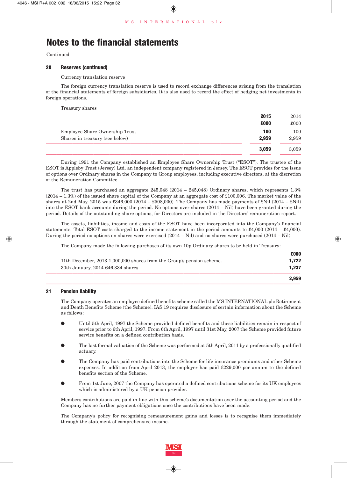Continued

### **20 Reserves (continued)**

Currency translation reserve

The foreign currency translation reserve is used to record exchange differences arising from the translation of the financial statements of foreign subsidiaries. It is also used to record the effect of hedging net investments in foreign operations.

Treasury shares

|                                | 2015  | 2014  |
|--------------------------------|-------|-------|
|                                | £000  | £000  |
| Employee Share Ownership Trust | 100   | 100   |
| Shares in treasury (see below) | 2,959 | 2,959 |
|                                | 3,059 | 3,059 |

During 1991 the Company established an Employee Share Ownership Trust ("ESOT"). The trustee of the ESOT is Appleby Trust (Jersey) Ltd, an independent company registered in Jersey. The ESOT provides for the issue of options over Ordinary shares in the Company to Group employees, including executive directors, at the discretion of the Remuneration Committee.

The trust has purchased an aggregate  $245,048$  (2014 – 245,048) Ordinary shares, which represents 1.3%  $(2014 - 1.3%)$  of the issued share capital of the Company at an aggregate cost of £100,006. The market value of the shares at 2nd May, 2015 was £346,000 (2014 – £508,000). The Company has made payments of £Nil (2014 – £Nil) into the ESOT bank accounts during the period. No options over shares (2014 – Nil) have been granted during the period. Details of the outstanding share options, for Directors are included in the Directors' remuneration report.

The assets, liabilities, income and costs of the ESOT have been incorporated into the Company's financial statements. Total ESOT costs charged to the income statement in the period amounts to  $\text{\pounds}4,000$  (2014 –  $\text{\pounds}4,000$ ). During the period no options on shares were exercised (2014 – Nil) and no shares were purchased (2014 – Nil).

The Company made the following purchases of its own 10p Ordinary shares to be held in Treasury:

|                                                                       | £000  |
|-----------------------------------------------------------------------|-------|
| 11th December, 2013 1,000,000 shares from the Group's pension scheme. | 1.722 |
| 30th January, 2014 646,334 shares                                     | 1.237 |
|                                                                       | 2.959 |

### **21 Pension liability**

The Company operates an employee defined benefits scheme called the MS INTERNATIONAL plc Retirement and Death Benefits Scheme (the Scheme). IAS 19 requires disclosure of certain information about the Scheme as follows:

- **IDED** Until 5th April, 1997 the Scheme provided defined benefits and these liabilities remain in respect of service prior to 6th April, 1997. From 6th April, 1997 until 31st May, 2007 the Scheme provided future service benefits on a defined contribution basis.
- l The last formal valuation of the Scheme was performed at 5th April, 2011 by a professionally qualified actuary.
- l The Company has paid contributions into the Scheme for life insurance premiums and other Scheme expenses. In addition from April 2013, the employer has paid £229,000 per annum to the defined benefits section of the Scheme.
- From 1st June, 2007 the Company has operated a defined contributions scheme for its UK employees which is administered by a UK pension provider.

Members contributions are paid in line with this scheme's documentation over the accounting period and the Company has no further payment obligations once the contributions have been made.

The Company's policy for recognising remeasurement gains and losses is to recognise them immediately through the statement of comprehensive income.

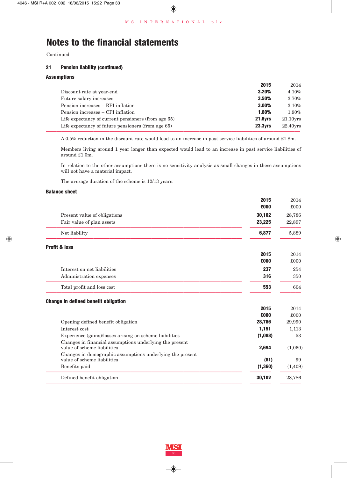Continued

### **21 Pension liability (continued)**

### **Assumptions**

| 2015           | 2014        |
|----------------|-------------|
| 3.20%          | $4.10\%$    |
| 3.50%          | 3.70%       |
| 3.00%          | 3.10%       |
| 1.80%          | 1.90%       |
| <b>21.6yrs</b> | $21.10$ vrs |
| <b>23.3yrs</b> | $22.40$ vrs |
|                |             |

A 0.5% reduction in the discount rate would lead to an increase in past service liabilities of around £1.8m.

Members living around 1 year longer than expected would lead to an increase in past service liabilities of around £1.0m.

In relation to the other assumptions there is no sensitivity analysis as small changes in these assumptions will not have a material impact.

The average duration of the scheme is 12/13 years.

### **Balance sheet**

|                                                                                          | 2015     | 2014    |
|------------------------------------------------------------------------------------------|----------|---------|
|                                                                                          | £000     | £000    |
| Present value of obligations                                                             | 30,102   | 28,786  |
| Fair value of plan assets                                                                | 23,225   | 22,897  |
| Net liability                                                                            | 6,877    | 5,889   |
| <b>Profit &amp; loss</b>                                                                 |          |         |
|                                                                                          | 2015     | 2014    |
|                                                                                          | £000     | £000    |
| Interest on net liabilities                                                              | 237      | 254     |
| Administration expenses                                                                  | 316      | 350     |
| Total profit and loss cost                                                               | 553      | 604     |
| <b>Change in defined benefit obligation</b>                                              |          |         |
|                                                                                          | 2015     | 2014    |
|                                                                                          | £000     | £000    |
| Opening defined benefit obligation                                                       | 28,786   | 29,990  |
| Interest cost                                                                            | 1,151    | 1,113   |
| Experience (gains)/losses arising on scheme liabilities                                  | (1,088)  | 53      |
| Changes in financial assumptions underlying the present<br>value of scheme liabilities   | 2,694    | (1,060) |
| Changes in demographic assumptions underlying the present<br>value of scheme liabilities | (81)     | 99      |
| Benefits paid                                                                            | (1, 360) | (1,409) |
| Defined benefit obligation                                                               | 30,102   | 28,786  |

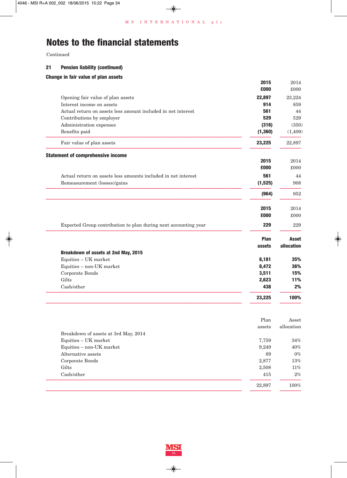Continued

### **21 Pension liability (continued)**

### **Change in fair value of plan assets**

|                                                                                       | 2015<br>£000      | 2014<br>£000         |
|---------------------------------------------------------------------------------------|-------------------|----------------------|
| Opening fair value of plan assets                                                     | 22,897            | 23,224               |
| Interest income on assets                                                             | 914               | 859                  |
| Actual return on assets less amount included in net interest                          | 561               | 44                   |
| Contributions by employer                                                             | 529               | 529                  |
| Administration expenses                                                               | (316)             | (350)                |
| Benefits paid                                                                         | (1, 360)          | (1, 409)             |
| Fair value of plan assets                                                             | 23,225            | 22,897               |
| <b>Statement of comprehensive income</b>                                              |                   |                      |
|                                                                                       | 2015              | 2014                 |
|                                                                                       | £000              | £000                 |
| Actual return on assets less amounts included in net interest                         | 561               | 44                   |
| Remeasurement (losses)/gains                                                          | (1, 525)          | 908                  |
|                                                                                       | (964)             | 952                  |
|                                                                                       | 2015              | 2014                 |
|                                                                                       | £000              | £000                 |
| Expected Group contribution to plan during next accounting year                       | 229               | 229                  |
|                                                                                       | Plan              | <b>Asset</b>         |
|                                                                                       | assets            | allocation           |
| Breakdown of assets at 2nd May, 2015                                                  |                   |                      |
| Equities - UK market                                                                  | 8,181             | 35%                  |
| Equities - non-UK market                                                              | 8,472             | 36%                  |
| Corporate Bonds                                                                       | 3,511             | 15%                  |
| Gilts                                                                                 | 2,623             | 11%                  |
| Cash/other                                                                            | 438               | 2%                   |
|                                                                                       | 23,225            | 100%                 |
|                                                                                       |                   |                      |
|                                                                                       | Plan              | Asset                |
|                                                                                       | assets            | allocation           |
| Breakdown of assets at 3rd May, 2014                                                  |                   |                      |
| Equities - UK market                                                                  | 7,759             | $34\%$               |
| Equities - non-UK market<br>$\mathbf{A}$ and $\mathbf{A}$ are the set of $\mathbf{A}$ | 9,249<br>$\Omega$ | 40%<br>$\sim$ $\sim$ |
|                                                                                       |                   |                      |

| Alternative assets | 89     | $0\%$   |
|--------------------|--------|---------|
| Corporate Bonds    | 2,877  | 13%     |
| Gilts              | 2,508  | 11%     |
| Cash/other         | 415    | 2%      |
|                    | 22,897 | $100\%$ |

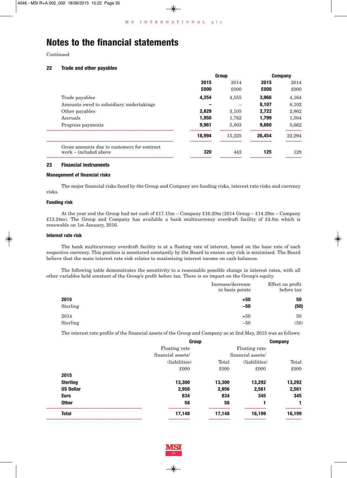Continued

#### **22 Trade and other payables**

|                                                                      | Group  |        | <b>Company</b> |        |
|----------------------------------------------------------------------|--------|--------|----------------|--------|
|                                                                      | 2015   | 2014   | 2015           | 2014   |
|                                                                      | £000   | £000   | £000           | £000   |
| Trade payables                                                       | 4,254  | 4,555  | 3,966          | 4,164  |
| Amounts owed to subsidiary undertakings                              |        |        | 8,107          | 8,102  |
| Other payables                                                       | 2,829  | 3,105  | 2,722          | 2,862  |
| Accruals                                                             | 1,950  | 1,762  | 1,799          | 1,504  |
| Progress payments                                                    | 9,961  | 5,803  | 9,860          | 5,662  |
|                                                                      | 18,994 | 15.225 | 26,454         | 22,294 |
| Gross amounts due to customers for contract<br>work – included above | 320    | 442    | 125            | 128    |

### **23 Financial instruments**

#### **Management of financial risks**

The major financial risks faced by the Group and Company are funding risks, interest rate risks and currency risks.

#### **Funding risk**

At the year end the Group had net cash of £17.15m – Company £16.20m (2014 Group – £14.29m – Company £13.24m). The Group and Company has available a bank multicurrency overdraft facility of £4.8m which is renewable on 1st January, 2016.

#### **Interest rate risk**

The bank multicurrency overdraft facility is at a floating rate of interest, based on the base rate of each respective currency. This position is monitored constantly by the Board to ensure any risk is minimised. The Board believe that the main interest rate risk relates to maximising interest income on cash balances.

The following table demonstrates the sensitivity to a reasonable possible change in interest rates, with all other variables held constant of the Group's profit before tax. There is no impact on the Group's equity.

|          | Increase/decrease<br>in basis points | Effect on profit<br>before tax |
|----------|--------------------------------------|--------------------------------|
| 2015     | $+50$                                | 50                             |
| Sterling | $-50$                                | (50)                           |
| 2014     | $+50$                                | 50                             |
| Sterling | $-50$                                | (50)                           |

The interest rate profile of the financial assets of the Group and Company as at 2nd May, 2015 was as follows:

|                  | Group             |        |                   | <b>Company</b> |
|------------------|-------------------|--------|-------------------|----------------|
|                  | Floating rate     |        | Floating rate     |                |
|                  | financial assets/ |        | financial assets/ |                |
|                  | (liabilities)     | Total  | (liabilities)     | Total          |
|                  | £000              | £000   | £000              | £000           |
| 2015             |                   |        |                   |                |
| <b>Sterling</b>  | 13,300            | 13,300 | 13,292            | 13,292         |
| <b>US Dollar</b> | 2,956             | 2,956  | 2,561             | 2,561          |
| <b>Euro</b>      | 834               | 834    | 345               | 345            |
| <b>Other</b>     | 58                | 58     |                   |                |
| <b>Total</b>     | 17,148            | 17,148 | 16,199            | 16,199         |
|                  |                   |        |                   |                |

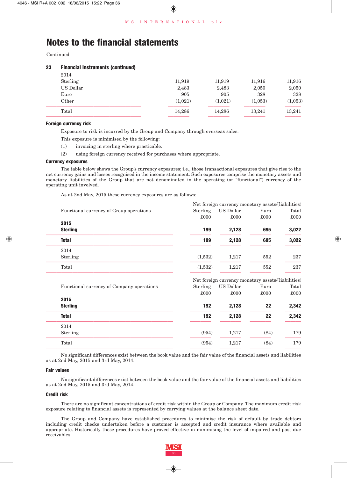Continued

#### **23 Financial instruments (continued)**

| 2014      |         |         |         |         |
|-----------|---------|---------|---------|---------|
| Sterling  | 11,919  | 11,919  | 11,916  | 11,916  |
| US Dollar | 2,483   | 2,483   | 2,050   | 2,050   |
| Euro      | 905     | 905     | 328     | 328     |
| Other     | (1,021) | (1,021) | (1,053) | (1,053) |
| Total     | 14,286  | 14,286  | 13,241  | 13,241  |

#### **Foreign currency risk**

Exposure to risk is incurred by the Group and Company through overseas sales.

This exposure is minimised by the following:

- (1) invoicing in sterling where practicable.
- (2) using foreign currency received for purchases where appropriate.

#### **Currency exposures**

The table below shows the Group's currency exposures; i.e., those transactional exposures that give rise to the net currency gains and losses recognised in the income statement. Such exposures comprise the monetary assets and monetary liabilities of the Group that are not denominated in the operating (or "functional") currency of the operating unit involved.

As at 2nd May, 2015 these currency exposures are as follows:

|                                           |                 | Net foreign currency monetary assets/(liabilities) |      |       |
|-------------------------------------------|-----------------|----------------------------------------------------|------|-------|
| Functional currency of Group operations   | <b>Sterling</b> | <b>US Dollar</b>                                   | Euro | Total |
|                                           | £000            | £000                                               | £000 | £000  |
| 2015                                      |                 |                                                    |      |       |
| <b>Sterling</b>                           | 199             | 2,128                                              | 695  | 3,022 |
| <b>Total</b>                              | 199             | 2,128                                              | 695  | 3,022 |
| 2014                                      |                 |                                                    |      |       |
| <b>Sterling</b>                           | (1,532)         | 1,217                                              | 552  | 237   |
| Total                                     | (1,532)         | 1,217                                              | 552  | 237   |
|                                           |                 | Net foreign currency monetary assets/(liabilities) |      |       |
| Functional currency of Company operations | Sterling        | <b>US Dollar</b>                                   | Euro | Total |
|                                           | £000            | £000                                               | £000 | £000  |
| 2015                                      |                 |                                                    |      |       |
| <b>Sterling</b>                           | 192             | 2,128                                              | 22   | 2,342 |
| <b>Total</b>                              | 192             | 2,128                                              | 22   | 2,342 |
| 2014                                      |                 |                                                    |      |       |
| Sterling                                  | (954)           | 1,217                                              | (84) | 179   |
| Total                                     | (954)           | 1,217                                              | (84) | 179   |
|                                           |                 |                                                    |      |       |

No significant differences exist between the book value and the fair value of the financial assets and liabilities as at 2nd May, 2015 and 3rd May, 2014.

#### **Fair values**

No significant differences exist between the book value and the fair value of the financial assets and liabilities as at 2nd May, 2015 and 3rd May, 2014.

#### **Credit risk**

There are no significant concentrations of credit risk within the Group or Company. The maximum credit risk exposure relating to financial assets is represented by carrying values at the balance sheet date.

The Group and Company have established procedures to minimise the risk of default by trade debtors including credit checks undertaken before a customer is accepted and credit insurance where available and appropriate. Historically these procedures have proved effective in minimising the level of impaired and past due receivables.

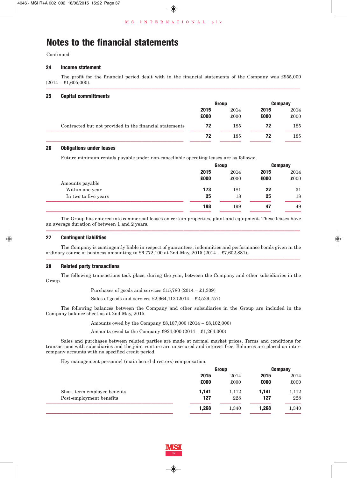Continued

#### **24 Income statement**

The profit for the financial period dealt with in the financial statements of the Company was £955,000  $(2014 - \text{\textsterling}1,605,000).$ **222222222222222222222222222222222222222222222222**

#### **25 Capital committments**

|                                                         | Group      |             | <b>Company</b> |             |
|---------------------------------------------------------|------------|-------------|----------------|-------------|
|                                                         | 2015       | 2014        | 2015           | 2014        |
| Contracted but not provided in the financial statements | £000<br>72 | £000<br>185 | £000<br>72     | £000<br>185 |
|                                                         | 72         | 185         | 72             | 185         |

### **26 Obligations under leases**

Future minimum rentals payable under non-cancellable operating leases are as follows:

|                                    | Group |      | <b>Company</b> |      |
|------------------------------------|-------|------|----------------|------|
|                                    | 2015  | 2014 | 2015           | 2014 |
|                                    | £000  | £000 | £000           | £000 |
| Amounts payable<br>Within one year | 173   | 181  | 22             | 31   |
| In two to five years               | 25    | 18   | 25             | 18   |
|                                    | 198   | 199  | 47             | 49   |

The Group has entered into commercial leases on certain properties, plant and equipment. These leases have an average duration of between 1 and 2 years. **222222222222222222222222222222222222222222222222**

#### **27 Contingent liabilities**

The Company is contingently liable in respect of guarantees, indemnities and performance bonds given in the ordinary course of business amounting to  $\pounds 6.772,100$  at 2nd May,  $2015$  ( $2014 - \pounds 7,602,881$ ). **222222222222222222222222222222222222222222222222**

### **28 Related party transactions**

The following transactions took place, during the year, between the Company and other subsidiaries in the Group.

Purchases of goods and services £15,780 (2014 – £1,309)

Sales of goods and services £2,964,112 (2014 – £2,529,757)

The following balances between the Company and other subsidiaries in the Group are included in the Company balance sheet as at 2nd May, 2015.

Amounts owed by the Company £8,107,000 (2014 – £8,102,000)

Amounts owed to the Company £924,000 (2014 – £1,264,000)

Sales and purchases between related parties are made at normal market prices. Terms and conditions for transactions with subsidiaries and the joint venture are unsecured and interest free. Balances are placed on intercompany accounts with no specified credit period.

Key management personnel (main board directors) compensation.

| Group        |              | <b>Company</b> |              |  |
|--------------|--------------|----------------|--------------|--|
| 2015<br>£000 | 2014<br>£000 | 2015<br>£000   | 2014<br>£000 |  |
| 1,141<br>127 | 1,112<br>228 | 1.141<br>127   | 1,112<br>228 |  |
| 1.268        | 1,340        | 1.268          | 1,340        |  |
|              |              |                |              |  |

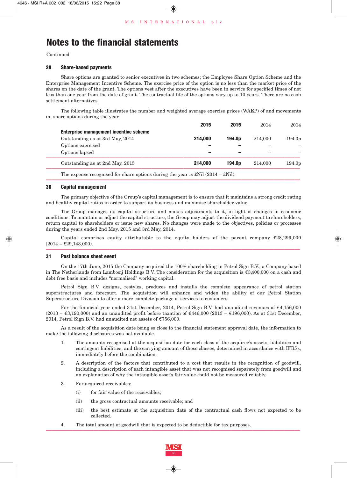Continued

#### **29 Share-based payments**

Share options are granted to senior executives in two schemes; the Employee Share Option Scheme and the Enterprise Management Incentive Scheme. The exercise price of the option is no less than the market price of the shares on the date of the grant. The options vest after the executives have been in service for specified times of not less than one year from the date of grant. The contractual life of the options vary up to 10 years. There are no cash settlement alternatives.

The following table illustrates the number and weighted average exercise prices (WAEP) of and movements in, share options during the year.

| Options lapsed<br>Outstanding as at 2nd May, 2015    | 214,000 | 194.0 <sub>p</sub> | –<br>214.000 | 194.0 <sub>p</sub> |
|------------------------------------------------------|---------|--------------------|--------------|--------------------|
| Outstanding as at 3rd May, 2014<br>Options exercised | 214,000 | 194.0 <sub>p</sub> | 214.000      | 194.0 <sub>p</sub> |
| Enterprise management incentive scheme               | 2015    | 2015               | 2014         | 2014               |

The expense recognised for share options during the year is  $\pounds$ Nil  $(2014 - \pounds$ Nil).

#### **30 Capital management**

The primary objective of the Group's capital management is to ensure that it maintains a strong credit rating and healthy capital ratios in order to support its business and maximise shareholder value.

The Group manages its capital structure and makes adjustments to it, in light of changes in economic conditions. To maintain or adjust the capital structure, the Group may adjust the dividend payment to shareholders, return capital to shareholders or issue new shares. No changes were made to the objectives, policies or processes during the years ended 2nd May, 2015 and 3rd May, 2014.

Capital comprises equity attributable to the equity holders of the parent company £28,299,000  $(2014 - \text{\textsterling}29, 143, 000).$ 

#### **31 Post balance sheet event**

On the 17th June, 2015 the Company acquired the 100% shareholding in Petrol Sign B.V., a Company based in The Netherlands from Lambooij Holdings B.V. The consideration for the acquisition is  $\epsilon$ 3,400,000 on a cash and debt free basis and includes "normalised" working capital.

Petrol Sign B.V. designs, restyles, produces and installs the complete appearance of petrol station superstructures and forecourt. The acquisition will enhance and widen the ability of our Petrol Station Superstructure Division to offer a more complete package of services to customers.

For the financial year ended 31st December, 2014, Petrol Sign B.V. had unaudited revenues of  $\epsilon$ 4,156,000  $(2013 - \text{\textsterling}3,190,000)$  and an unaudited profit before taxation of  $\text{\textsterling}446,000$  (2013 –  $\text{\textsterling}196,000$ ). As at 31st December, 2014, Petrol Sign B.V. had unaudited net assets of  $\epsilon$ 756,000.

As a result of the acquisition date being so close to the financial statement approval date, the information to make the following disclosures was not available.

- 1. The amounts recognised at the acquisition date for each class of the acquiree's assets, liabilities and contingent liabilities, and the carrying amount of those classes, determined in accordance with IFRSs, immediately before the combination.
- 2. A description of the factors that contributed to a cost that results in the recognition of goodwill, including a description of each intangible asset that was not recognised separately from goodwill and an explanation of why the intangible asset's fair value could not be measured reliably.
- 3. For acquired receivables:
	- (i) for fair value of the receivables;
	- (ii) the gross contractual amounts receivable; and
	- (iii) the best estimate at the acquisition date of the contractual cash flows not expected to be collected.
- 4. The total amount of goodwill that is expected to be deductible for tax purposes. **<sup>222222222222222222222222222222222222222222222222</sup>**

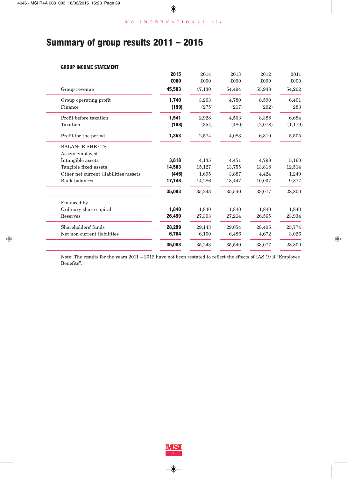## **Summary of group results 2011 – 2015**

|                                        | 2015   | 2014   | 2013   | 2012    | 2011    |
|----------------------------------------|--------|--------|--------|---------|---------|
|                                        | £000   | £000   | £000   | £000    | £000    |
| Group revenue                          | 45,503 | 47,130 | 54,494 | 55,948  | 54,202  |
| Group operating profit                 | 1,740  | 3,203  | 4,780  | 8,590   | 6,401   |
| Finance                                | (199)  | (275)  | (217)  | (202)   | 283     |
| Profit before taxation                 | 1,541  | 2,928  | 4,563  | 8,388   | 6,684   |
| Taxation                               | (188)  | (354)  | (480)  | (2,078) | (1,179) |
| Profit for the period                  | 1,353  | 2,574  | 4,083  | 6,310   | 5,505   |
| <b>BALANCE SHEETS</b>                  |        |        |        |         |         |
| Assets employed                        |        |        |        |         |         |
| Intangible assets                      | 3,818  | 4,135  | 4,451  | 4,798   | 5,160   |
| Tangible fixed assets                  | 14,563 | 15,127 | 13,755 | 13,818  | 12,514  |
| Other net current (liabilities)/assets | (446)  | 1,695  | 3,887  | 4,424   | 1,249   |
| <b>Bank</b> balances                   | 17,148 | 14,286 | 13,447 | 10,037  | 9,877   |
|                                        | 35,083 | 35,243 | 35,540 | 33,077  | 28,800  |
| Financed by                            |        |        |        |         |         |
| Ordinary share capital                 | 1,840  | 1,840  | 1,840  | 1,840   | 1,840   |
| Reserves                               | 26,459 | 27,303 | 27,214 | 26,565  | 23,934  |
| Shareholders' funds                    | 28,299 | 29,143 | 29,054 | 28,405  | 25,774  |
| Net non current liabilities            | 6,784  | 6,100  | 6,486  | 4,672   | 3,026   |
|                                        | 35,083 | 35,243 | 35,540 | 33,077  | 28,800  |
|                                        |        |        |        |         |         |

### **GROUP INCOME STATEMENT**

Note: The results for the years 2011 – 2012 have not been restated to reflect the effects of IAS 19 R "Employee Benefits".

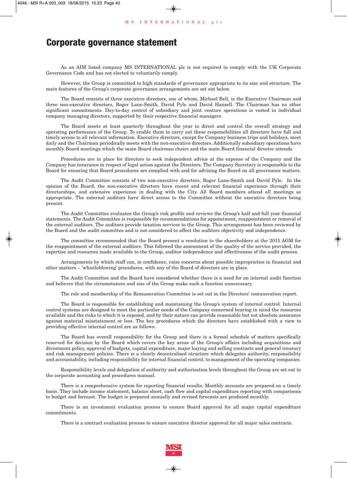### **Corporate governance statement**

As an AIM listed company MS INTERNATIONAL plc is not required to comply with the UK Corporate Governance Code and has not elected to voluntarily comply.

However, the Group is committed to high standards of governance appropriate to its size and structure. The main features of the Group's corporate governance arrangements are set out below.

The Board consists of three executive directors, one of whom, Michael Bell, is the Executive Chairman and three non-executive directors, Roger Lane-Smith, David Pyle and David Hansell. The Chairman has no other significant commitments. Day-to-day control of subsidiary and joint venture operations is vested in individual company managing directors, supported by their respective financial managers.

The Board meets at least quarterly throughout the year to direct and control the overall strategy and operating performance of the Group. To enable them to carry out these responsibilities all directors have full and timely access to all relevant information. Executive directors, except for Company business trips and holidays, meet daily and the Chairman periodically meets with the non-executive directors. Additionally subsidiary operations have monthly Board meetings which the main Board chairman chairs and the main Board financial director attends.

Procedures are in place for directors to seek independent advice at the expense of the Company and the Company has insurance in respect of legal action against the Directors. The Company Secretary is responsible to the Board for ensuring that Board procedures are complied with and for advising the Board on all governance matters.

The Audit Committee consists of two non-executive directors, Roger Lane-Smith and David Pyle. In the opinion of the Board, the non-executive directors have recent and relevant financial experience through their directorships, and extensive experience in dealing with the City. All Board members attend all meetings as appropriate. The external auditors have direct access to the Committee without the executive directors being present.

The Audit Committee evaluates the Group's risk profile and reviews the Group's half and full year financial statements. The Audit Committee is responsible for recommendations for appointment, reappointment or removal of the external auditors. The auditors provide taxation services to the Group. This arrangement has been reviewed by the Board and the audit committee and is not considered to affect the auditors objectivity and independence.

The committee recommended that the Board present a resolution to the shareholders at the 2015 AGM for the reappointment of the external auditors. This followed the assessment of the quality of the service provided, the expertise and resources made available to the Group, auditor independence and effectiveness of the audit process.

Arrangements by which staff can, in confidence, raise concerns about possible improprieties in financial and other matters – 'whistleblowing' procedures, with any of the Board of directors are in place.

The Audit Committee and the Board have considered whether there is a need for an internal audit function and believes that the circumstances and size of the Group make such a function unnecessary.

The role and membership of the Remuneration Committee is set out in the Directors' remuneration report.

The Board is responsible for establishing and maintaining the Group's system of internal control. Internal control systems are designed to meet the particular needs of the Company concerned bearing in mind the resources available and the risks to which it is exposed, and by their nature can provide reasonable but not absolute assurance against material misstatement or loss. The key procedures which the directors have established with a view to providing effective internal control are as follows:

The Board has overall responsibility for the Group and there is a formal schedule of matters specifically reserved for decision by the Board which covers the key areas of the Group's affairs including acquisitions and divestment policy, approval of budgets, capital expenditure, major buying and selling contracts and general treasury and risk management policies. There is a clearly decentralised structure which delegates authority, responsibility and accountability, including responsibility for internal financial control, to management of the operating companies.

Responsibility levels and delegation of authority and authorisation levels throughout the Group are set out in the corporate accounting and procedures manual.

There is a comprehensive system for reporting financial results. Monthly accounts are prepared on a timely basis. They include income statement, balance sheet, cash flow and capital expenditure reporting with comparisons to budget and forecast. The budget is prepared annually and revised forecasts are produced monthly.

There is an investment evaluation process to ensure Board approval for all major capital expenditure commitments.

There is a contract evaluation process to ensure executive director approval for all major sales contracts.

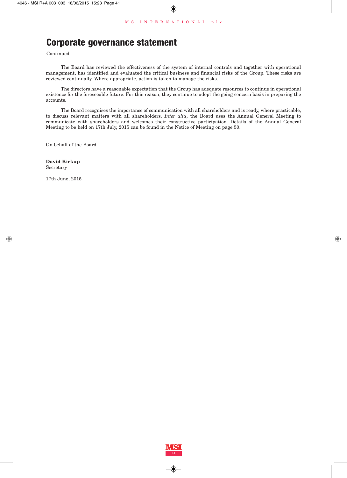### **Corporate governance statement**

Continued

The Board has reviewed the effectiveness of the system of internal controls and together with operational management, has identified and evaluated the critical business and financial risks of the Group. These risks are reviewed continually. Where appropriate, action is taken to manage the risks.

The directors have a reasonable expectation that the Group has adequate resources to continue in operational existence for the foreseeable future. For this reason, they continue to adopt the going concern basis in preparing the accounts.

The Board recognises the importance of communication with all shareholders and is ready, where practicable, to discuss relevant matters with all shareholders. *Inter alia*, the Board uses the Annual General Meeting to communicate with shareholders and welcomes their constructive participation. Details of the Annual General Meeting to be held on 17th July, 2015 can be found in the Notice of Meeting on page 50.

On behalf of the Board

**David Kirkup** Secretary

17th June, 2015

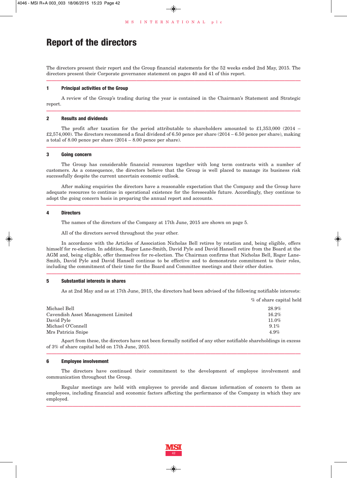The directors present their report and the Group financial statements for the 52 weeks ended 2nd May, 2015. The directors present their Corporate governance statement on pages 40 and 41 of this report. **222222222222222222222222222222222222222222222222**

#### **1 Principal activities of the Group**

A review of the Group's trading during the year is contained in the Chairman's Statement and Strategic report. **222222222222222222222222222222222222222222222222**

#### **2 Results and dividends**

The profit after taxation for the period attributable to shareholders amounted to £1,353,000 (2014 –  $£2,574,000$ ). The directors recommend a final dividend of 6.50 pence per share (2014 – 6.50 pence per share), making a total of 8.00 pence per share (2014 – 8.00 pence per share). **222222222222222222222222222222222222222222222222**

#### **3 Going concern**

The Group has considerable financial resources together with long term contracts with a number of customers. As a consequence, the directors believe that the Group is well placed to manage its business risk successfully despite the current uncertain economic outlook.

After making enquiries the directors have a reasonable expectation that the Company and the Group have adequate resources to continue in operational existence for the foreseeable future. Accordingly, they continue to adopt the going concern basis in preparing the annual report and accounts. **222222222222222222222222222222222222222222222222**

#### **4 Directors**

The names of the directors of the Company at 17th June, 2015 are shown on page 5.

All of the directors served throughout the year other.

In accordance with the Articles of Association Nicholas Bell retires by rotation and, being eligible, offers himself for re-election. In addition, Roger Lane-Smith, David Pyle and David Hansell retire from the Board at the AGM and, being eligible, offer themselves for re-election. The Chairman confirms that Nicholas Bell, Roger Lane-Smith, David Pyle and David Hansell continue to be effective and to demonstrate commitment to their roles, including the commitment of their time for the Board and Committee meetings and their other duties. **222222222222222222222222222222222222222222222222**

#### **5 Substantial interests in shares**

As at 2nd May and as at 17th June, 2015, the directors had been advised of the following notifiable interests:

|                                    | % of share capital held |
|------------------------------------|-------------------------|
| Michael Bell                       | 28.9%                   |
| Cavendish Asset Management Limited | $16.2\%$                |
| David Pyle                         | $11.0\%$                |
| Michael O'Connell                  | $9.1\%$                 |
| Mrs Patricia Snipe                 | $4.9\%$                 |
|                                    |                         |

Apart from these, the directors have not been formally notified of any other notifiable shareholdings in excess of 3% of share capital held on 17th June, 2015. **222222222222222222222222222222222222222222222222**

#### **6 Employee involvement**

The directors have continued their commitment to the development of employee involvement and communication throughout the Group.

Regular meetings are held with employees to provide and discuss information of concern to them as employees, including financial and economic factors affecting the performance of the Company in which they are employed. **222222222222222222222222222222222222222222222222**

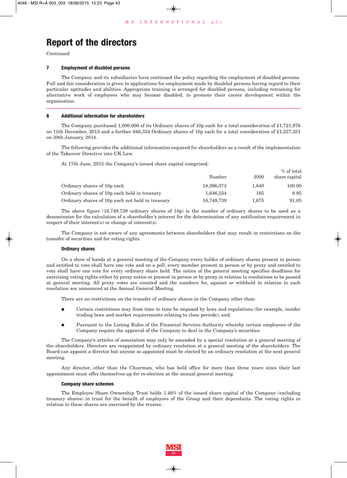Continued

#### **7 Employment of disabled persons**

The Company and its subsidiaries have continued the policy regarding the employment of disabled persons. Full and fair consideration is given to applications for employment made by disabled persons having regard to their particular aptitudes and abilities. Appropriate training is arranged for disabled persons, including retraining for alternative work of employees who may become disabled, to promote their career development within the organisation.

**222222222222222222222222222222222222222222222222**

#### **8 Additional information for shareholders**

The Company purchased 1,000,000 of its Ordinary shares of 10p each for a total consideration of £1,721,976 on 11th December, 2013 and a further 646,334 Ordinary shares of 10p each for a total consideration of £1,237,251 on 30th January, 2014.

The following provides the additional information required for shareholders as a result of the implementation of the Takeover Directive into UK Law.

At 17th June, 2015 the Company's issued share capital comprised:

|                                                  | Number     | £000  | $%$ of total<br>share capital |
|--------------------------------------------------|------------|-------|-------------------------------|
| Ordinary shares of 10p each                      | 18,396,073 | 1.840 | 100.00                        |
| Ordinary shares of 10p each held in treasury     | 1.646.334  | 165   | 8.95                          |
| Ordinary shares of 10p each not held in treasury | 16.749.739 | 1.675 | 91.05                         |

The above figure (16,749,739 ordinary shares of 10p) is the number of ordinary shares to be used as a denominator for the calculation of a shareholder's interest for the determination of any notification requirement in respect of their interest(s) or change of interest(s).

The Company is not aware of any agreements between shareholders that may result in restrictions on the transfer of securities and for voting rights.

#### **Ordinary shares**

On a show of hands at a general meeting of the Company every holder of ordinary shares present in person and entitled to vote shall have one vote and on a poll, every member present in person or by proxy and entitled to vote shall have one vote for every ordinary share held. The notice of the general meeting specifies deadlines for exercising voting rights either by proxy notice or present in person or by proxy in relation to resolutions to be passed at general meeting. All proxy votes are counted and the numbers for, against or withheld in relation to each resolution are announced at the Annual General Meeting.

There are no restrictions on the transfer of ordinary shares in the Company other than:

- <sup>l</sup> Certain restrictions may from time to time be imposed by laws and regulations (for example, insider trading laws and market requirements relating to close periods); and;
- <sup>l</sup> Pursuant to the Listing Rules of the Financial Services Authority whereby certain employees of the Company require the approval of the Company to deal in the Company's securities.

The Company's articles of association may only be amended by a special resolution at a general meeting of the shareholders. Directors are reappointed by ordinary resolution at a general meeting of the shareholders. The Board can appoint a director but anyone so appointed must be elected by an ordinary resolution at the next general meeting.

Any director, other than the Chairman, who has held office for more than three years since their last appointment must offer themselves up for re-election at the annual general meeting.

#### **Company share schemes**

The Employee Share Ownership Trust holds 1.46% of the issued share capital of the Company (excluding treasury shares) in trust for the benefit of employees of the Group and their dependants. The voting rights in relation to these shares are exercised by the trustee.

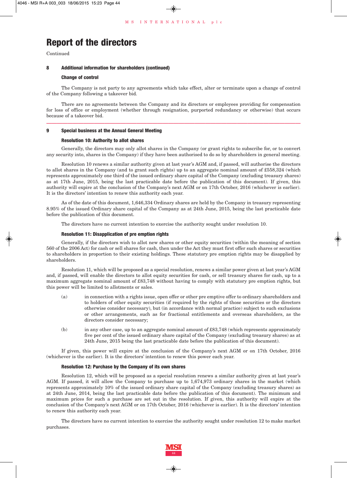Continued

#### **8 Additional information for shareholders (continued)**

#### **Change of control**

The Company is not party to any agreements which take effect, alter or terminate upon a change of control of the Company following a takeover bid.

There are no agreements between the Company and its directors or employees providing for compensation for loss of office or employment (whether through resignation, purported redundancy or otherwise) that occurs because of a takeover bid.

**222222222222222222222222222222222222222222222222**

#### **9 Special business at the Annual General Meeting**

#### **Resolution 10: Authority to allot shares**

Generally, the directors may only allot shares in the Company (or grant rights to subscribe for, or to convert any security into, shares in the Company) if they have been authorised to do so by shareholders in general meeting.

Resolution 10 renews a similar authority given at last year's AGM and, if passed, will authorise the directors to allot shares in the Company (and to grant such rights) up to an aggregate nominal amount of £558,324 (which represents approximately one third of the issued ordinary share capital of the Company (excluding treasury shares) as at 17th June, 2015, being the last practicable date before the publication of this document). If given, this authority will expire at the conclusion of the Company's next AGM or on 17th October, 2016 (whichever is earlier). It is the directors' intention to renew this authority each year.

As of the date of this document, 1,646,334 Ordinary shares are held by the Company in treasury representing 8.95% of the issued Ordinary share capital of the Company as at 24th June, 2015, being the last practicable date before the publication of this document.

The directors have no current intention to exercise the authority sought under resolution 10.

#### **Resolution 11: Disapplication of pre emption rights**

Generally, if the directors wish to allot new shares or other equity securities (within the meaning of section 560 of the 2006 Act) for cash or sell shares for cash, then under the Act they must first offer such shares or securities to shareholders in proportion to their existing holdings. These statutory pre emption rights may be disapplied by shareholders.

Resolution 11, which will be proposed as a special resolution, renews a similar power given at last year's AGM and, if passed, will enable the directors to allot equity securities for cash, or sell treasury shares for cash, up to a maximum aggregate nominal amount of £83,748 without having to comply with statutory pre emption rights, but this power will be limited to allotments or sales.

- (a) in connection with a rights issue, open offer or other pre emptive offer to ordinary shareholders and to holders of other equity securities (if required by the rights of those securities or the directors otherwise consider necessary), but (in accordance with normal practice) subject to such exclusions or other arrangements, such as for fractional entitlements and overseas shareholders, as the directors consider necessary;
- (b) in any other case, up to an aggregate nominal amount of £83,748 (which represents approximately five per cent of the issued ordinary share capital of the Company (excluding treasury shares) as at 24th June, 2015 being the last practicable date before the publication of this document).

If given, this power will expire at the conclusion of the Company's next AGM or on 17th October, 2016 (whichever is the earlier). It is the directors' intention to renew this power each year.

#### **Resolution 12: Purchase by the Company of its own shares**

Resolution 12, which will be proposed as a special resolution renews a similar authority given at last year's AGM. If passed, it will allow the Company to purchase up to 1,674,973 ordinary shares in the market (which represents approximately 10% of the issued ordinary share capital of the Company (excluding treasury shares) as at 24th June, 2014, being the last practicable date before the publication of this document). The minimum and maximum prices for such a purchase are set out in the resolution. If given, this authority will expire at the conclusion of the Company's next AGM or on 17th October, 2016 (whichever is earlier). It is the directors' intention to renew this authority each year.

The directors have no current intention to exercise the authority sought under resolution 12 to make market purchases.

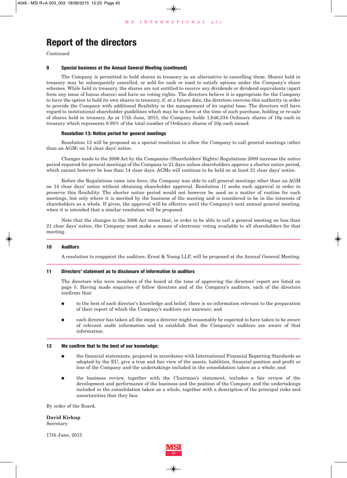Continued

#### **9 Special business at the Annual General Meeting (continued)**

The Company is permitted to hold shares in treasury as an alternative to cancelling them. Shares held in treasury may be subsequently cancelled, or sold for cash or used to satisfy options under the Company's share schemes. While held in treasury, the shares are not entitled to receive any dividends or dividend equivalents (apart form any issue of bonus shares) and have no voting rights. The directors believe it is appropriate for the Company to have the option to hold its own shares in treasury, if, at a future date, the directors exercise this authority in order to provide the Company with additional flexibility in the management of its capital base. The directors will have regard to institutional shareholder guidelines which may be in force at the time of such purchase, holding or re-sale of shares held in treasury. As at 17th June, 2015, the Company holds 1,646,334 Ordinary shares of 10p each in treasury which represents 8.95% of the total number of Ordinary shares of 10p each issued.

#### **Resolution 13: Notice period for general meetings**

Resolution 13 will be proposed as a special resolution to allow the Company to call general meetings (other than an AGM) on 14 clear days' notice.

Changes made to the 2006 Act by the Companies (Shareholders' Rights) Regulations 2009 increase the notice period required for general meetings of the Company to 21 days unless shareholders approve a shorter notice period, which cannot however be less than 14 clear days. AGMs will continue to be held on at least 21 clear days' notice.

Before the Regulations came into force, the Company was able to call general meetings other than an AGM on 14 clear days' notice without obtaining shareholder approval. Resolution 11 seeks such approval in order to preserve this flexibility. The shorter notice period would not however be used as a matter of routine for such meetings, but only where it is merited by the business of the meeting and is considered to be in the interests of shareholders as a whole. If given, the approval will be effective until the Company's next annual general meeting, when it is intended that a similar resolution will be proposed.

Note that the changes to the 2006 Act mean that, in order to be able to call a general meeting on less than 21 clear days' notice, the Company must make a means of electronic voting available to all shareholders for that meeting. **222222222222222222222222222222222222222222222222**

#### **10 Auditors**

A resolution to reappoint the auditors, Ernst & Young LLP, will be proposed at the Annual General Meeting. **222222222222222222222222222222222222222222222222**

#### **11 Directors' statement as to disclosure of information to auditors**

The directors who were members of the board at the time of approving the directors' report are listed on page 5. Having made enquiries of fellow directors and of the Company's auditors, each of the directors confirms that:

- <sup>l</sup> to the best of each director's knowledge and belief, there is no information relevant to the preparation of their report of which the Company's auditors are unaware; and
- <sup>l</sup> each director has taken all the steps a director might reasonably be expected to have taken to be aware of relevant audit information and to establish that the Company's auditors are aware of that information. **222222222222222222222222222222222222222222222222**

#### **12 We confirm that to the best of our knowledge:**

- <sup>l</sup> the financial statements, prepared in accordance with International Financial Reporting Standards as adopted by the EU, give a true and fair view of the assets, liabilities, financial position and profit or loss of the Company and the undertakings included in the consolidation taken as a whole; and
- <sup>l</sup> the business review, together with the Chairman's statement, includes a fair review of the development and performance of the business and the position of the Company and the undertakings included in the consolidation taken as a whole, together with a description of the principal risks and uncertainties that they face

By order of the Board,

**David Kirkup** Secretary

17th June, 2015

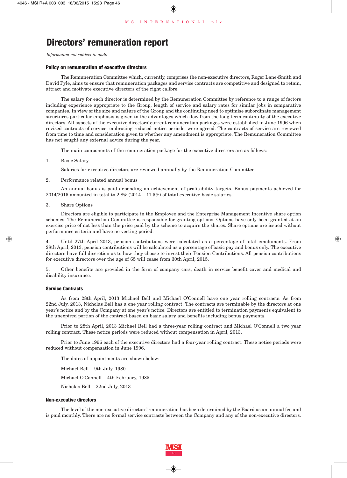## **Directors' remuneration report**

*Information not subject to audit*

#### **Policy on remuneration of executive directors**

The Remuneration Committee which, currently, comprises the non-executive directors, Roger Lane-Smith and David Pyle, aims to ensure that remuneration packages and service contracts are competitive and designed to retain, attract and motivate executive directors of the right calibre.

The salary for each director is determined by the Remuneration Committee by reference to a range of factors including experience appropriate to the Group, length of service and salary rates for similar jobs in comparative companies. In view of the size and nature of the Group and the continuing need to optimise subordinate management structures particular emphasis is given to the advantages which flow from the long term continuity of the executive directors. All aspects of the executive directors' current remuneration packages were established in June 1996 when revised contracts of service, embracing reduced notice periods, were agreed. The contracts of service are reviewed from time to time and consideration given to whether any amendment is appropriate. The Remuneration Committee has not sought any external advice during the year.

The main components of the remuneration package for the executive directors are as follows:

1. Basic Salary

Salaries for executive directors are reviewed annually by the Remuneration Committee.

2. Performance related annual bonus

An annual bonus is paid depending on achievement of profitability targets. Bonus payments achieved for  $2014/2015$  amounted in total to  $2.8\%$  (2014 – 11.5%) of total executive basic salaries.

3. Share Options

Directors are eligible to participate in the Employee and the Enterprise Management Incentive share option schemes. The Remuneration Committee is responsible for granting options. Options have only been granted at an exercise price of not less than the price paid by the scheme to acquire the shares. Share options are issued without performance criteria and have no vesting period.

4. Until 27th April 2013, pension contributions were calculated as a percentage of total emoluments. From 28th April, 2013, pension contributions will be calculated as a percentage of basic pay and bonus only. The executive directors have full discretion as to how they choose to invest their Pension Contributions. All pension contributions for executive directors over the age of 65 will cease from 30th April, 2015.

5. Other benefits are provided in the form of company cars, death in service benefit cover and medical and disability insurance.

#### **Service Contracts**

As from 28th April, 2013 Michael Bell and Michael O'Connell have one year rolling contracts. As from 22nd July, 2013, Nicholas Bell has a one year rolling contract. The contracts are terminable by the directors at one year's notice and by the Company at one year's notice. Directors are entitled to termination payments equivalent to the unexpired portion of the contract based on basic salary and benefits including bonus payments.

Prior to 28th April, 2013 Michael Bell had a three-year rolling contract and Michael O'Connell a two year rolling contract. These notice periods were reduced without compensation in April, 2013.

Prior to June 1996 each of the executive directors had a four-year rolling contract. These notice periods were reduced without compensation in June 1996.

The dates of appointments are shown below:

Michael Bell – 9th July, 1980

Michael O'Connell – 4th February, 1985

Nicholas Bell – 22nd July, 2013

#### **Non-executive directors**

The level of the non-executive directors' remuneration has been determined by the Board as an annual fee and is paid monthly. There are no formal service contracts between the Company and any of the non-executive directors.

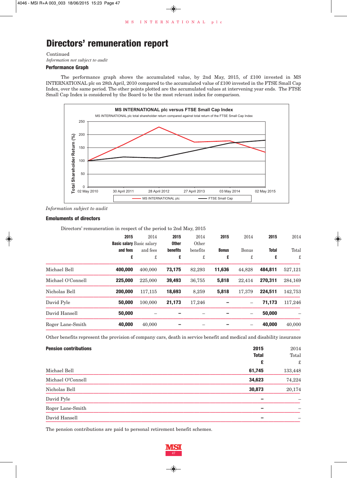## **Directors' remuneration report**

Continued *Information not subject to audit*

### **Performance Graph**

The performance graph shows the accumulated value, by 2nd May, 2015, of £100 invested in MS INTERNATIONAL plc on 28th April, 2010 compared to the accumulated value of £100 invested in the FTSE Small Cap Index, over the same period. The other points plotted are the accumulated values at intervening year ends. The FTSE Small Cap Index is considered by the Board to be the most relevant index for comparison.





### **Emoluments of directors**

Directors' remuneration in respect of the period to 2nd May, 2015

|                   | 2015<br><b>Basic salary</b> Basic salary | 2014          | 2015<br><b>Other</b> | 2014<br>Other | 2015              | 2014              | 2015              | 2014       |
|-------------------|------------------------------------------|---------------|----------------------|---------------|-------------------|-------------------|-------------------|------------|
|                   | and fees<br>£                            | and fees<br>£ | <b>benefits</b><br>£ | benefits<br>£ | <b>Bonus</b><br>£ | <b>Bonus</b><br>£ | <b>Total</b><br>£ | Total<br>£ |
| Michael Bell      | 400.000                                  | 400,000       | 73,175               | 82,293        | 11,636            | 44,828            | 484.811           | 527,121    |
| Michael O'Connell | 225,000                                  | 225,000       | 39,493               | 36,755        | 5,818             | 22,414            | 270.311           | 284,169    |
| Nicholas Bell     | 200,000                                  | 117,115       | 18,693               | 8,259         | 5,818             | 17,379            | 224.511           | 142,753    |
| David Pyle        | 50,000                                   | 100,000       | 21,173               | 17,246        |                   | —                 | 71,173            | 117,246    |
| David Hansell     | 50,000                                   |               |                      |               |                   | —                 | 50,000            |            |
| Roger Lane-Smith  | 40,000                                   | 40,000        | -                    |               |                   | —                 | 40,000            | 40,000     |

Other benefits represent the provision of company cars, death in service benefit and medical and disability insurance

| <b>Pension contributions</b> | 2015              | 2014       |
|------------------------------|-------------------|------------|
|                              | <b>Total</b><br>£ | Total<br>£ |
| Michael Bell                 | 61,745            | 133,448    |
| Michael O'Connell            | 34,623            | 74,224     |
| Nicholas Bell                | 30,873            | 20,174     |
| David Pyle                   |                   | -          |
| Roger Lane-Smith             |                   |            |
| David Hansell                |                   |            |

The pension contributions are paid to personal retirement benefit schemes.

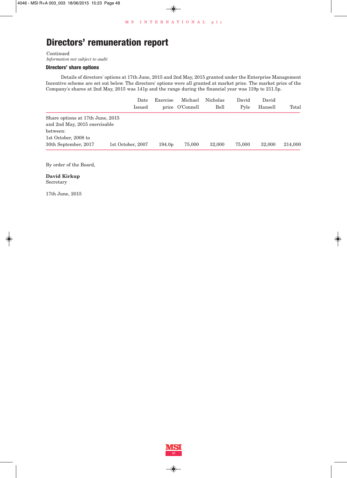## **Directors' remuneration report**

Continued *Information not subject to audit*

### **Directors' share options**

Details of directors' options at 17th June, 2015 and 2nd May, 2015 granted under the Enterprise Management Incentive scheme are set out below. The directors' options were all granted at market price. The market price of the Company's shares at 2nd May, 2015 was 141p and the range during the financial year was 119p to 211.5p.

|                                  | Date              | Exercise           | Michael   | <b>Nicholas</b> | David  | David   |         |
|----------------------------------|-------------------|--------------------|-----------|-----------------|--------|---------|---------|
|                                  | Issued            | price              | O'Connell | Bell            | Pyle   | Hansell | Total   |
| Share options at 17th June, 2015 |                   |                    |           |                 |        |         |         |
| and 2nd May, 2015 exercisable    |                   |                    |           |                 |        |         |         |
| between:                         |                   |                    |           |                 |        |         |         |
| 1st October, 2008 to             |                   |                    |           |                 |        |         |         |
| 30th September, 2017             | 1st October, 2007 | 194.0 <sub>p</sub> | 75,000    | 32,000          | 75,000 | 32,000  | 214,000 |

By order of the Board,

**David Kirkup** Secretary

17th June, 2015

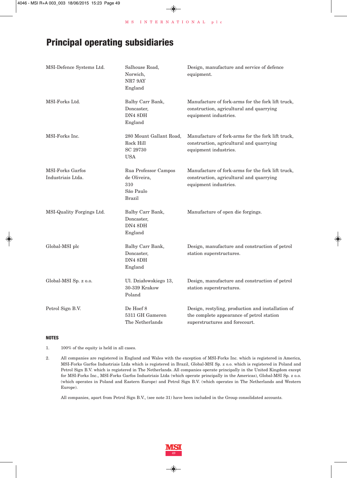## **Principal operating subsidiaries**

| MSI-Defence Systems Ltd.              | Salhouse Road,<br>Norwich,<br>NR79AY<br>England                           | Design, manufacture and service of defence<br>equipment.                                                                         |
|---------------------------------------|---------------------------------------------------------------------------|----------------------------------------------------------------------------------------------------------------------------------|
| MSI-Forks Ltd.                        | Balby Carr Bank,<br>Doncaster,<br>DN4 8DH<br>England                      | Manufacture of fork-arms for the fork lift truck,<br>construction, agricultural and quarrying<br>equipment industries.           |
| MSI-Forks Inc.                        | 280 Mount Gallant Road,<br>Rock Hill<br>SC 29730<br><b>USA</b>            | Manufacture of fork-arms for the fork lift truck,<br>construction, agricultural and quarrying<br>equipment industries.           |
| MSI-Forks Garfos<br>Industriais Ltda. | Rua Professor Campos<br>de Oliveira,<br>310<br>São Paulo<br><b>Brazil</b> | Manufacture of fork-arms for the fork lift truck,<br>construction, agricultural and quarrying<br>equipment industries.           |
| MSI-Quality Forgings Ltd.             | Balby Carr Bank,<br>Doncaster,<br>DN4 8DH<br>England                      | Manufacture of open die forgings.                                                                                                |
| Global-MSI plc                        | Balby Carr Bank,<br>Doncaster,<br>DN4 8DH<br>England                      | Design, manufacture and construction of petrol<br>station superstructures.                                                       |
| Global-MSI Sp. z o.o.                 | Ul. Działowskiego 13,<br>30-339 Krakow<br>Poland                          | Design, manufacture and construction of petrol<br>station superstructures.                                                       |
| Petrol Sign B.V.                      | De Hoef 8<br>5311 GH Gameren<br>The Netherlands                           | Design, restyling, production and installation of<br>the complete appearance of petrol station<br>superstructures and forecourt. |

### **NOTES**

1. 100% of the equity is held in all cases.

2. All companies are registered in England and Wales with the exception of MSI-Forks Inc. which is registered in America, MSI-Forks Garfos Industriais Ltda which is registered in Brazil, Global-MSI Sp. z o.o. which is registered in Poland and Petrol Sign B.V. which is registered in The Netherlands. All companies operate principally in the United Kingdom except for MSI-Forks Inc., MSI-Forks Garfos Industriais Ltda (which operate principally in the Americas), Global-MSI Sp. z o.o. (which operates in Poland and Eastern Europe) and Petrol Sign B.V. (which operates in The Netherlands and Western Europe).

All companies, apart from Petrol Sign B.V., (see note 31) have been included in the Group consolidated accounts.

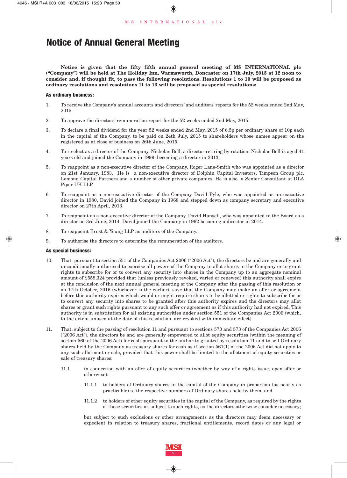**Notice is given that the fifty fifth annual general meeting of MS INTERNATIONAL plc** ("Company") will be held at The Holiday Inn, Warmsworth, Doncaster on 17th July, 2015 at 12 noon to consider and, if thought fit, to pass the following resolutions. Resolutions 1 to 10 will be proposed as **ordinary resolutions and resolutions 11 to 13 will be proposed as special resolutions:**

#### **As ordinary business:**

- 1. To receive the Company's annual accounts and directors' and auditors' reports for the 52 weeks ended 2nd May, 2015.
- 2. To approve the directors' remuneration report for the 52 weeks ended 2nd May, 2015.
- 3. To declare a final dividend for the year 52 weeks ended 2nd May, 2015 of 6.5p per ordinary share of 10p each in the capital of the Company, to be paid on 24th July, 2015 to shareholders whose names appear on the registered as at close of business on 26th June, 2015.
- 4. To re-elect as a director of the Company, Nicholas Bell, a director retiring by rotation. Nicholas Bell is aged 41 years old and joined the Company in 1999, becoming a director in 2013.
- 5. To reappoint as a non-executive director of the Company, Roger Lane-Smith who was appointed as a director on 21st January, 1983. He is a non-executive director of Dolphin Capital Investors, Timpson Group plc, Lomond Capital Partners and a number of other private companies. He is also a Senior Consultant at DLA Piper UK LLP.
- 6. To reappoint as a non-executive director of the Company David Pyle, who was appointed as an executive director in 1980, David joined the Company in 1968 and stepped down as company secretary and executive director on 27th April, 2013.
- 7. To reappoint as a non-executive director of the Company, David Hansell, who was appointed to the Board as a director on 3rd June, 2014. David joined the Company in 1962 becoming a director in 2014.
- 8. To reappoint Ernst & Young LLP as auditors of the Company.
- 9. To authorise the directors to determine the remuneration of the auditors.

#### **As special business:**

- 10. That, pursuant to section 551 of the Companies Act 2006 ("2006 Act"), the directors be and are generally and unconditionally authorised to exercise all powers of the Company to allot shares in the Company or to grant rights to subscribe for or to convert any security into shares in the Company up to an aggregate nominal amount of £558,324 provided that (unless previously revoked, varied or renewed) this authority shall expire at the conclusion of the next annual general meeting of the Company after the passing of this resolution or on 17th October, 2016 (whichever is the earlier), save that the Company may make an offer or agreement before this authority expires which would or might require shares to be allotted or rights to subscribe for or to convert any security into shares to be granted after this authority expires and the directors may allot shares or grant such rights pursuant to any such offer or agreement as if this authority had not expired. This authority is in substitution for all existing authorities under section 551 of the Companies Act 2006 (which, to the extent unused at the date of this resolution, are revoked with immediate effect).
- 11. That, subject to the passing of resolution 11 and pursuant to sections 570 and 573 of the Companies Act 2006 ("2006 Act"), the directors be and are generally empowered to allot equity securities (within the meaning of section 560 of the 2006 Act) for cash pursuant to the authority granted by resolution 11 and to sell Ordinary shares held by the Company as treasury shares for cash as if section 561(1) of the 2006 Act did not apply to any such allotment or sale, provided that this power shall be limited to the allotment of equity securities or sale of treasury shares:
	- 11.1 in connection with an offer of equity securities (whether by way of a rights issue, open offer or otherwise):
		- 11.1.1 to holders of Ordinary shares in the capital of the Company in proportion (as nearly as practicable) to the respective numbers of Ordinary shares held by them; and
		- 11.1.2 to holders of other equity securities in the capital of the Company, as required by the rights of those securities or, subject to such rights, as the directors otherwise consider necessary;

but subject to such exclusions or other arrangements as the directors may deem necessary or expedient in relation to treasury shares, fractional entitlements, record dates or any legal or

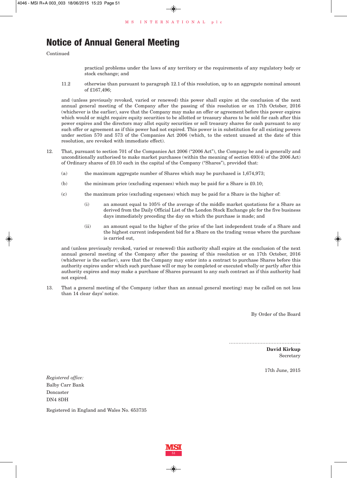Continued

practical problems under the laws of any territory or the requirements of any regulatory body or stock exchange; and

11.2 otherwise than pursuant to paragraph 12.1 of this resolution, up to an aggregate nominal amount of £167,496;

and (unless previously revoked, varied or renewed) this power shall expire at the conclusion of the next annual general meeting of the Company after the passing of this resolution or on 17th October, 2016 (whichever is the earlier), save that the Company may make an offer or agreement before this power expires which would or might require equity securities to be allotted or treasury shares to be sold for cash after this power expires and the directors may allot equity securities or sell treasury shares for cash pursuant to any such offer or agreement as if this power had not expired. This power is in substitution for all existing powers under section 570 and 573 of the Companies Act 2006 (which, to the extent unused at the date of this resolution, are revoked with immediate effect).

- 12. That, pursuant to section 701 of the Companies Act 2006 ("2006 Act"), the Company be and is generally and unconditionally authorised to make market purchases (within the meaning of section 693(4) of the 2006 Act) of Ordinary shares of £0.10 each in the capital of the Company ("Shares"), provided that:
	- (a) the maximum aggregate number of Shares which may be purchased is 1,674,973;
	- (b) the minimum price (excluding expenses) which may be paid for a Share is  $\text{\pounds}0.10$ ;
	- (c) the maximum price (excluding expenses) which may be paid for a Share is the higher of:
		- (i) an amount equal to 105% of the average of the middle market quotations for a Share as derived from the Daily Official List of the London Stock Exchange plc for the five business days immediately preceding the day on which the purchase is made; and
		- (ii) an amount equal to the higher of the price of the last independent trade of a Share and the highest current independent bid for a Share on the trading venue where the purchase is carried out,

and (unless previously revoked, varied or renewed) this authority shall expire at the conclusion of the next annual general meeting of the Company after the passing of this resolution or on 17th October, 2016 (whichever is the earlier), save that the Company may enter into a contract to purchase Shares before this authority expires under which such purchase will or may be completed or executed wholly or partly after this authority expires and may make a purchase of Shares pursuant to any such contract as if this authority had not expired.

13. That a general meeting of the Company (other than an annual general meeting) may be called on not less than 14 clear days' notice.

By Order of the Board

………………………………………………

**David Kirkup** Secretary

17th June, 2015

*Registered office:* Balby Carr Bank Doncaster DN4 8DH

Registered in England and Wales No. 653735

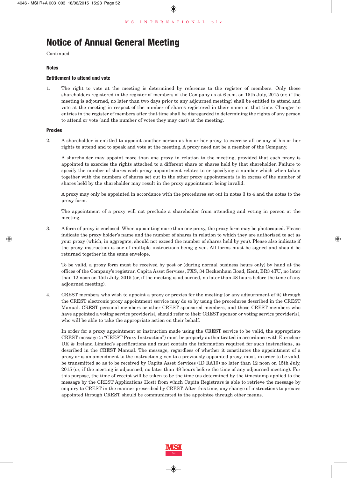Continued

#### **Notes**

#### **Entitlement to attend and vote**

1. The right to vote at the meeting is determined by reference to the register of members. Only those shareholders registered in the register of members of the Company as at 6 p.m. on 15th July, 2015 (or, if the meeting is adjourned, no later than two days prior to any adjourned meeting) shall be entitled to attend and vote at the meeting in respect of the number of shares registered in their name at that time. Changes to entries in the register of members after that time shall be disregarded in determining the rights of any person to attend or vote (and the number of votes they may cast) at the meeting.

#### **Proxies**

2. A shareholder is entitled to appoint another person as his or her proxy to exercise all or any of his or her rights to attend and to speak and vote at the meeting. A proxy need not be a member of the Company.

A shareholder may appoint more than one proxy in relation to the meeting, provided that each proxy is appointed to exercise the rights attached to a different share or shares held by that shareholder. Failure to specify the number of shares each proxy appointment relates to or specifying a number which when taken together with the numbers of shares set out in the other proxy appointments is in excess of the number of shares held by the shareholder may result in the proxy appointment being invalid.

A proxy may only be appointed in accordance with the procedures set out in notes 3 to 4 and the notes to the proxy form.

The appointment of a proxy will not preclude a shareholder from attending and voting in person at the meeting.

3. A form of proxy is enclosed. When appointing more than one proxy, the proxy form may be photocopied. Please indicate the proxy holder's name and the number of shares in relation to which they are authorised to act as your proxy (which, in aggregate, should not exceed the number of shares held by you). Please also indicate if the proxy instruction is one of multiple instructions being given. All forms must be signed and should be returned together in the same envelope.

To be valid, a proxy form must be received by post or (during normal business hours only) by hand at the offices of the Company's registrar, Capita Asset Services, PXS, 34 Beckenham Road, Kent, BR3 4TU, no later than 12 noon on 15th July, 2015 (or, if the meeting is adjourned, no later than 48 hours before the time of any adjourned meeting).

4. CREST members who wish to appoint a proxy or proxies for the meeting (or any adjournment of it) through the CREST electronic proxy appointment service may do so by using the procedures described in the CREST Manual. CREST personal members or other CREST sponsored members, and those CREST members who have appointed a voting service provider(s), should refer to their CREST sponsor or voting service provider(s), who will be able to take the appropriate action on their behalf.

In order for a proxy appointment or instruction made using the CREST service to be valid, the appropriate CREST message (a "CREST Proxy Instruction") must be properly authenticated in accordance with Euroclear UK & Ireland Limited's specifications and must contain the information required for such instructions, as described in the CREST Manual. The message, regardless of whether it constitutes the appointment of a proxy or is an amendment to the instruction given to a previously appointed proxy, must, in order to be valid, be transmitted so as to be received by Capita Asset Services (ID RA10) no later than 12 noon on 15th July, 2015 (or, if the meeting is adjourned, no later than 48 hours before the time of any adjourned meeting). For this purpose, the time of receipt will be taken to be the time (as determined by the timestamp applied to the message by the CREST Applications Host) from which Capita Registrars is able to retrieve the message by enquiry to CREST in the manner prescribed by CREST. After this time, any change of instructions to proxies appointed through CREST should be communicated to the appointee through other means.

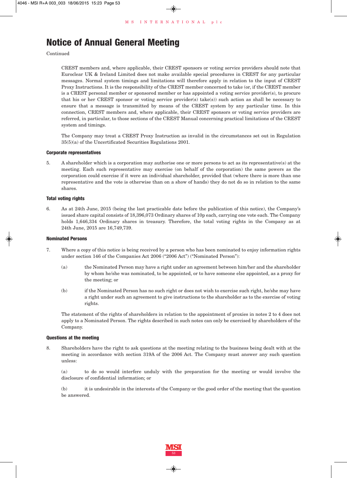Continued

CREST members and, where applicable, their CREST sponsors or voting service providers should note that Euroclear UK & Ireland Limited does not make available special procedures in CREST for any particular messages. Normal system timings and limitations will therefore apply in relation to the input of CREST Proxy Instructions. It is the responsibility of the CREST member concerned to take (or, if the CREST member is a CREST personal member or sponsored member or has appointed a voting service provider(s), to procure that his or her CREST sponsor or voting service provider(s) take(s)) such action as shall be necessary to ensure that a message is transmitted by means of the CREST system by any particular time. In this connection, CREST members and, where applicable, their CREST sponsors or voting service providers are referred, in particular, to those sections of the CREST Manual concerning practical limitations of the CREST system and timings.

The Company may treat a CREST Proxy Instruction as invalid in the circumstances set out in Regulation 35(5)(a) of the Uncertificated Securities Regulations 2001.

#### **Corporate representatives**

5. A shareholder which is a corporation may authorise one or more persons to act as its representative(s) at the meeting. Each such representative may exercise (on behalf of the corporation) the same powers as the corporation could exercise if it were an individual shareholder, provided that (where there is more than one representative and the vote is otherwise than on a show of hands) they do not do so in relation to the same shares.

#### **Total voting rights**

6. As at 24th June, 2015 (being the last practicable date before the publication of this notice), the Company's issued share capital consists of 18,396,073 Ordinary shares of 10p each, carrying one vote each. The Company holds 1,646,334 Ordinary shares in treasury. Therefore, the total voting rights in the Company as at 24th June, 2015 are 16,749,739.

#### **Nominated Persons**

- 7. Where a copy of this notice is being received by a person who has been nominated to enjoy information rights under section 146 of the Companies Act 2006 ("2006 Act") ("Nominated Person"):
	- (a) the Nominated Person may have a right under an agreement between him/her and the shareholder by whom he/she was nominated, to be appointed, or to have someone else appointed, as a proxy for the meeting; or
	- (b) if the Nominated Person has no such right or does not wish to exercise such right, he/she may have a right under such an agreement to give instructions to the shareholder as to the exercise of voting rights.

The statement of the rights of shareholders in relation to the appointment of proxies in notes 2 to 4 does not apply to a Nominated Person. The rights described in such notes can only be exercised by shareholders of the Company.

#### **Questions at the meeting**

8. Shareholders have the right to ask questions at the meeting relating to the business being dealt with at the meeting in accordance with section 319A of the 2006 Act. The Company must answer any such question unless:

(a) to do so would interfere unduly with the preparation for the meeting or would involve the disclosure of confidential information; or

(b) it is undesirable in the interests of the Company or the good order of the meeting that the question be answered.

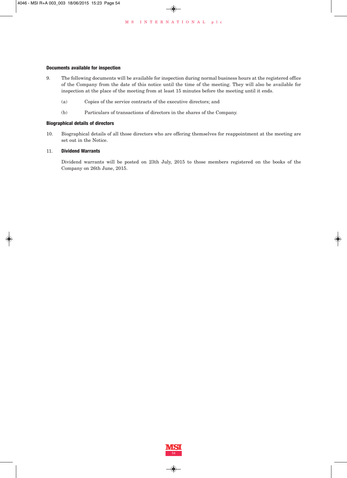#### **Documents available for inspection**

- 9. The following documents will be available for inspection during normal business hours at the registered office of the Company from the date of this notice until the time of the meeting. They will also be available for inspection at the place of the meeting from at least 15 minutes before the meeting until it ends.
	- (a) Copies of the service contracts of the executive directors; and
	- (b) Particulars of transactions of directors in the shares of the Company.

#### **Biographical details of directors**

10. Biographical details of all those directors who are offering themselves for reappointment at the meeting are set out in the Notice.

#### 11. **Dividend Warrants**

Dividend warrants will be posted on 23th July, 2015 to those members registered on the books of the Company on 26th June, 2015.

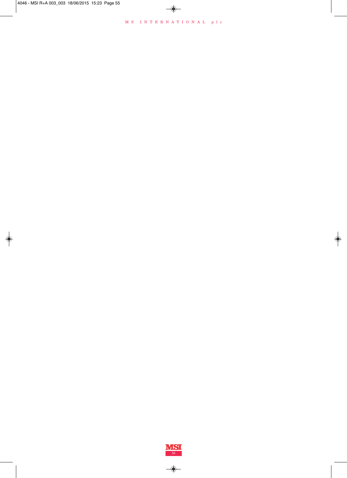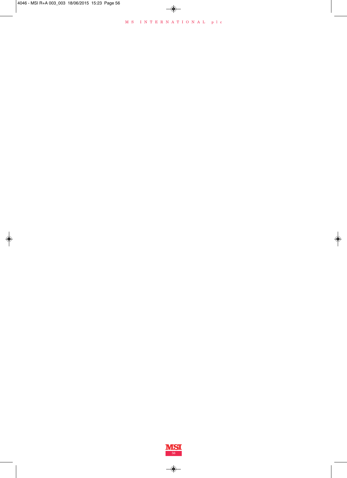